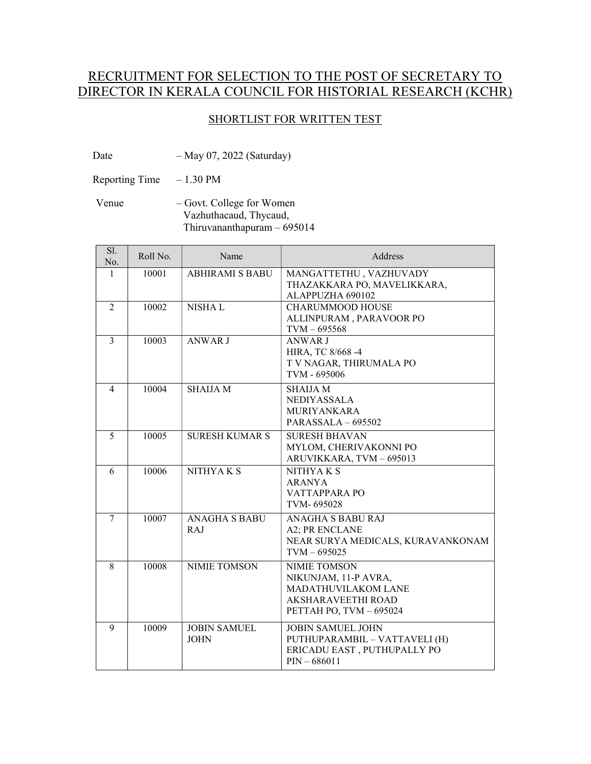## RECRUITMENT FOR SELECTION TO THE POST OF SECRETARY TO DIRECTOR IN KERALA COUNCIL FOR HISTORIAL RESEARCH (KCHR)

## SHORTLIST FOR WRITTEN TEST

Date – May 07, 2022 (Saturday)

Reporting Time – 1.30 PM

 Venue – Govt. College for Women Vazhuthacaud, Thycaud, Thiruvananthapuram – 695014

| Sl.<br>No.     | Roll No. | Name                               | Address                                                                                                                    |
|----------------|----------|------------------------------------|----------------------------------------------------------------------------------------------------------------------------|
| 1              | 10001    | <b>ABHIRAMI S BABU</b>             | MANGATTETHU, VAZHUVADY<br>THAZAKKARA PO, MAVELIKKARA,<br>ALAPPUZHA 690102                                                  |
| $\overline{2}$ | 10002    | <b>NISHAL</b>                      | <b>CHARUMMOOD HOUSE</b><br>ALLINPURAM, PARAVOOR PO<br>$TVM - 695568$                                                       |
| $\overline{3}$ | 10003    | <b>ANWAR J</b>                     | <b>ANWAR J</b><br>HIRA, TC 8/668-4<br>T V NAGAR, THIRUMALA PO<br>TVM - 695006                                              |
| $\overline{4}$ | 10004    | <b>SHAIJA M</b>                    | <b>SHAIJA M</b><br><b>NEDIYASSALA</b><br><b>MURIYANKARA</b><br>PARASSALA - 695502                                          |
| 5              | 10005    | <b>SURESH KUMAR S</b>              | <b>SURESH BHAVAN</b><br>MYLOM, CHERIVAKONNI PO<br>ARUVIKKARA, TVM - 695013                                                 |
| 6              | 10006    | NITHYAK <sub>S</sub>               | NITHYAK <sub>S</sub><br><b>ARANYA</b><br>VATTAPPARA PO<br>TVM-695028                                                       |
| $\overline{7}$ | 10007    | <b>ANAGHA S BABU</b><br><b>RAJ</b> | ANAGHA S BABU RAJ<br>A2; PR ENCLANE<br>NEAR SURYA MEDICALS, KURAVANKONAM<br>$TVM - 695025$                                 |
| 8              | 10008    | <b>NIMIE TOMSON</b>                | <b>NIMIE TOMSON</b><br>NIKUNJAM, 11-P AVRA,<br>MADATHUVILAKOM LANE<br><b>AKSHARAVEETHI ROAD</b><br>PETTAH PO, TVM - 695024 |
| 9              | 10009    | <b>JOBIN SAMUEL</b><br><b>JOHN</b> | <b>JOBIN SAMUEL JOHN</b><br>PUTHUPARAMBIL - VATTAVELI (H)<br>ERICADU EAST, PUTHUPALLY PO<br>$PIN - 686011$                 |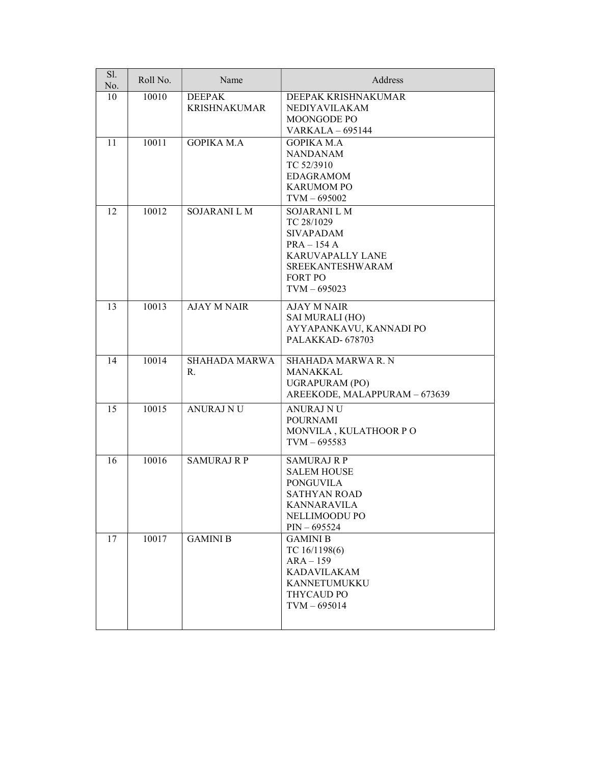| Sl.<br>No. | Roll No. | Name                                 | Address                                                                                                                                           |
|------------|----------|--------------------------------------|---------------------------------------------------------------------------------------------------------------------------------------------------|
| 10         | 10010    | <b>DEEPAK</b><br><b>KRISHNAKUMAR</b> | DEEPAK KRISHNAKUMAR<br><b>NEDIYAVILAKAM</b><br>MOONGODE PO<br><b>VARKALA - 695144</b>                                                             |
| 11         | 10011    | <b>GOPIKA M.A</b>                    | <b>GOPIKA M.A</b><br><b>NANDANAM</b><br>TC 52/3910<br><b>EDAGRAMOM</b><br><b>KARUMOM PO</b><br>$TVM - 695002$                                     |
| 12         | 10012    | <b>SOJARANI L M</b>                  | <b>SOJARANI L M</b><br>TC 28/1029<br><b>SIVAPADAM</b><br>$PRA - 154A$<br>KARUVAPALLY LANE<br>SREEKANTESHWARAM<br><b>FORT PO</b><br>$TVM - 695023$ |
| 13         | 10013    | <b>AJAY M NAIR</b>                   | <b>AJAY M NAIR</b><br><b>SAI MURALI (HO)</b><br>AYYAPANKAVU, KANNADI PO<br>PALAKKAD-678703                                                        |
| 14         | 10014    | <b>SHAHADA MARWA</b><br>R.           | <b>SHAHADA MARWA R. N</b><br>MANAKKAL<br><b>UGRAPURAM (PO)</b><br>AREEKODE, MALAPPURAM - 673639                                                   |
| 15         | 10015    | <b>ANURAJ NU</b>                     | <b>ANURAJ NU</b><br><b>POURNAMI</b><br>MONVILA , KULATHOOR P O<br>$TVM - 695583$                                                                  |
| 16         | 10016    | <b>SAMURAJ R P</b>                   | <b>SAMURAJ R P</b><br><b>SALEM HOUSE</b><br><b>PONGUVILA</b><br><b>SATHYAN ROAD</b><br><b>KANNARAVILA</b><br>NELLIMOODU PO<br>$PIN - 695524$      |
| 17         | 10017    | <b>GAMINI B</b>                      | <b>GAMINI B</b><br>TC 16/1198(6)<br>$ARA-159$<br><b>KADAVILAKAM</b><br>KANNETUMUKKU<br>THYCAUD PO<br>$TVM - 695014$                               |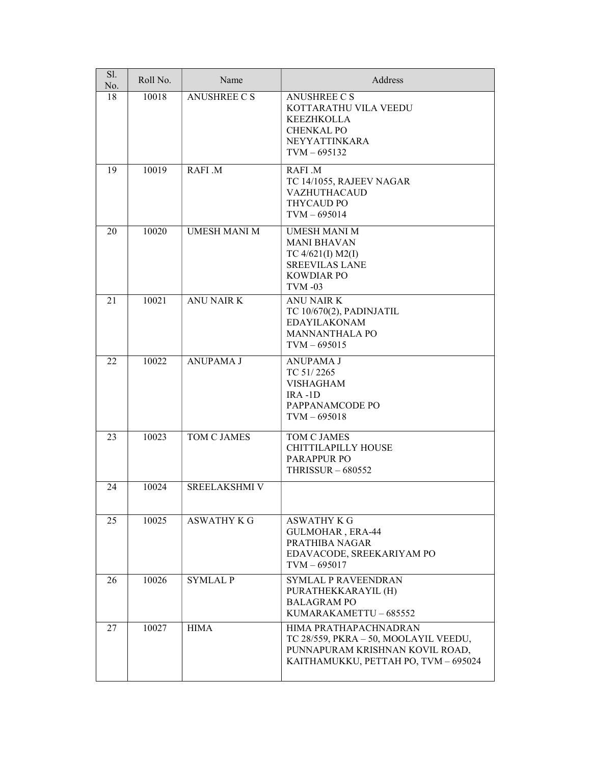| Sl.<br>No. | Roll No. | Name                 | Address                                                                                                                                   |
|------------|----------|----------------------|-------------------------------------------------------------------------------------------------------------------------------------------|
| 18         | 10018    | <b>ANUSHREE C S</b>  | <b>ANUSHREE C S</b><br>KOTTARATHU VILA VEEDU<br><b>KEEZHKOLLA</b><br><b>CHENKAL PO</b><br>NEYYATTINKARA<br>$TVM - 695132$                 |
| 19         | 10019    | RAFI .M              | RAFI .M<br>TC 14/1055, RAJEEV NAGAR<br><b>VAZHUTHACAUD</b><br>THYCAUD PO<br>$TVM - 695014$                                                |
| 20         | 10020    | <b>UMESH MANI M</b>  | <b>UMESH MANI M</b><br><b>MANI BHAVAN</b><br>TC $4/621(I)$ M2(I)<br><b>SREEVILAS LANE</b><br><b>KOWDIAR PO</b><br><b>TVM-03</b>           |
| 21         | 10021    | <b>ANU NAIR K</b>    | <b>ANU NAIR K</b><br>TC 10/670(2), PADINJATIL<br><b>EDAYILAKONAM</b><br><b>MANNANTHALA PO</b><br>$TVM - 695015$                           |
| 22         | 10022    | <b>ANUPAMA J</b>     | <b>ANUPAMA J</b><br>TC 51/2265<br><b>VISHAGHAM</b><br>$IRA -1D$<br>PAPPANAMCODE PO<br>$TVM - 695018$                                      |
| 23         | 10023    | TOM C JAMES          | TOM C JAMES<br>CHITTILAPILLY HOUSE<br><b>PARAPPUR PO</b><br><b>THRISSUR - 680552</b>                                                      |
| 24         | 10024    | <b>SREELAKSHMI V</b> |                                                                                                                                           |
| 25         | 10025    | <b>ASWATHY K G</b>   | <b>ASWATHY K G</b><br>GULMOHAR, ERA-44<br>PRATHIBA NAGAR<br>EDAVACODE, SREEKARIYAM PO<br>$TVM - 695017$                                   |
| 26         | 10026    | <b>SYMLAL P</b>      | <b>SYMLAL P RAVEENDRAN</b><br>PURATHEKKARAYIL (H)<br><b>BALAGRAM PO</b><br>KUMARAKAMETTU - 685552                                         |
| 27         | 10027    | <b>HIMA</b>          | HIMA PRATHAPACHNADRAN<br>TC 28/559, PKRA - 50, MOOLAYIL VEEDU,<br>PUNNAPURAM KRISHNAN KOVIL ROAD,<br>KAITHAMUKKU, PETTAH PO, TVM - 695024 |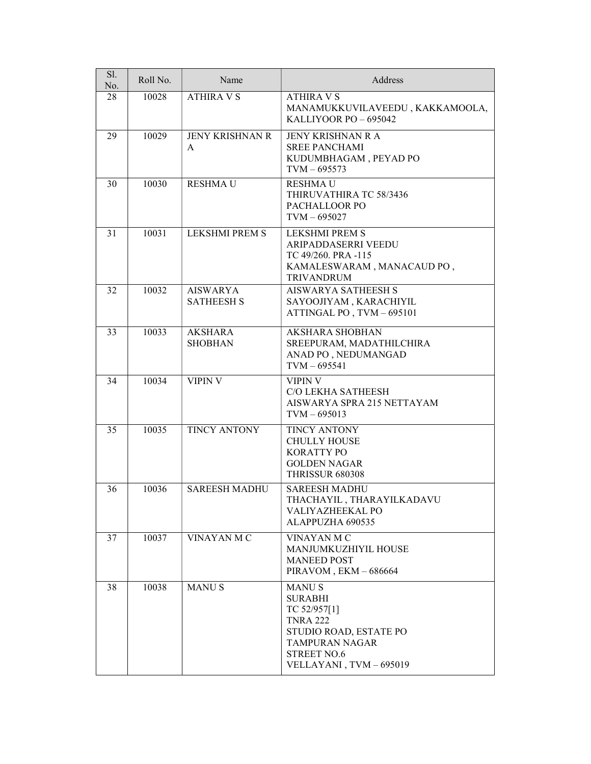| Sl.<br>No. | Roll No. | Name                                 | Address                                                                                                                                                             |
|------------|----------|--------------------------------------|---------------------------------------------------------------------------------------------------------------------------------------------------------------------|
| 28         | 10028    | <b>ATHIRA V S</b>                    | <b>ATHIRA V S</b><br>MANAMUKKUVILAVEEDU, KAKKAMOOLA,<br>KALLIYOOR PO - 695042                                                                                       |
| 29         | 10029    | <b>JENY KRISHNAN R</b><br>A          | <b>JENY KRISHNAN R A</b><br><b>SREE PANCHAMI</b><br>KUDUMBHAGAM, PEYAD PO<br>$TVM - 695573$                                                                         |
| 30         | 10030    | <b>RESHMAU</b>                       | <b>RESHMAU</b><br>THIRUVATHIRA TC 58/3436<br>PACHALLOOR PO<br>$TVM - 695027$                                                                                        |
| 31         | 10031    | LEKSHMI PREM S                       | <b>LEKSHMI PREM S</b><br>ARIPADDASERRI VEEDU<br>TC 49/260. PRA -115<br>KAMALESWARAM, MANACAUD PO,<br><b>TRIVANDRUM</b>                                              |
| 32         | 10032    | <b>AISWARYA</b><br><b>SATHEESH S</b> | <b>AISWARYA SATHEESH S</b><br>SAYOOJIYAM, KARACHIYIL<br>ATTINGAL PO, TVM - 695101                                                                                   |
| 33         | 10033    | <b>AKSHARA</b><br><b>SHOBHAN</b>     | <b>AKSHARA SHOBHAN</b><br>SREEPURAM, MADATHILCHIRA<br>ANAD PO, NEDUMANGAD<br>$TVM - 695541$                                                                         |
| 34         | 10034    | <b>VIPIN V</b>                       | VIPIN V<br>C/O LEKHA SATHEESH<br>AISWARYA SPRA 215 NETTAYAM<br>$TVM - 695013$                                                                                       |
| 35         | 10035    | <b>TINCY ANTONY</b>                  | TINCY ANTONY<br><b>CHULLY HOUSE</b><br><b>KORATTY PO</b><br><b>GOLDEN NAGAR</b><br><b>THRISSUR 680308</b>                                                           |
| 36         | 10036    | <b>SAREESH MADHU</b>                 | <b>SAREESH MADHU</b><br>THACHAYIL, THARAYILKADAVU<br><b>VALIYAZHEEKAL PO</b><br>ALAPPUZHA 690535                                                                    |
| 37         | 10037    | VINAYAN MC                           | VINAYAN M C<br>MANJUMKUZHIYIL HOUSE<br><b>MANEED POST</b><br>PIRAVOM, EKM-686664                                                                                    |
| 38         | 10038    | <b>MANUS</b>                         | <b>MANUS</b><br><b>SURABHI</b><br>TC 52/957[1]<br><b>TNRA 222</b><br>STUDIO ROAD, ESTATE PO<br><b>TAMPURAN NAGAR</b><br><b>STREET NO.6</b><br>VELLAYANI, TVM-695019 |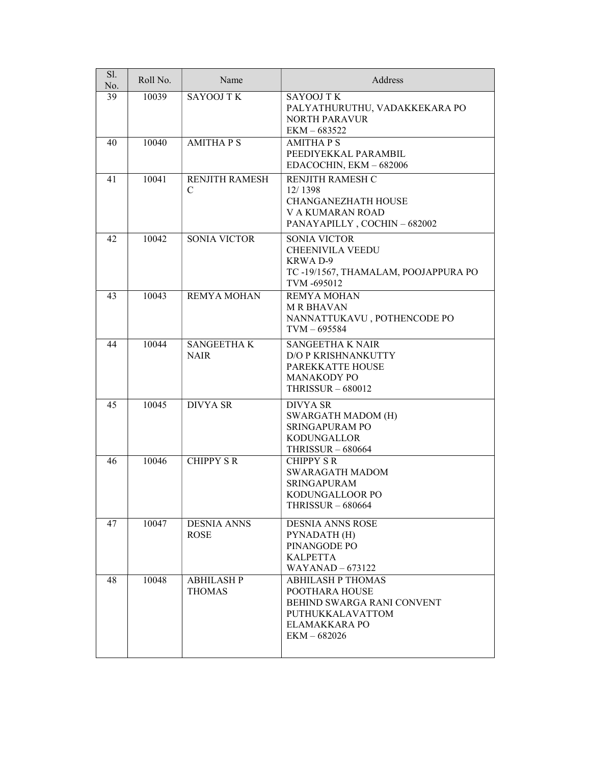| Sl.<br>No. | Roll No. | Name                               | Address                                                                                                                         |
|------------|----------|------------------------------------|---------------------------------------------------------------------------------------------------------------------------------|
| 39         | 10039    | <b>SAYOOJ TK</b>                   | <b>SAYOOJ T K</b><br>PALYATHURUTHU, VADAKKEKARA PO<br><b>NORTH PARAVUR</b><br>EKM-683522                                        |
| 40         | 10040    | <b>AMITHAPS</b>                    | <b>AMITHAPS</b><br>PEEDIYEKKAL PARAMBIL<br>EDACOCHIN, EKM - 682006                                                              |
| 41         | 10041    | <b>RENJITH RAMESH</b><br>C         | RENJITH RAMESH C<br>12/1398<br><b>CHANGANEZHATH HOUSE</b><br>V A KUMARAN ROAD<br>PANAYAPILLY, COCHIN-682002                     |
| 42         | 10042    | <b>SONIA VICTOR</b>                | <b>SONIA VICTOR</b><br><b>CHEENIVILA VEEDU</b><br><b>KRWAD-9</b><br>TC-19/1567, THAMALAM, POOJAPPURA PO<br>TVM-695012           |
| 43         | 10043    | <b>REMYA MOHAN</b>                 | <b>REMYA MOHAN</b><br><b>MR BHAVAN</b><br>NANNATTUKAVU, POTHENCODE PO<br>$TVM - 695584$                                         |
| 44         | 10044    | <b>SANGEETHAK</b><br><b>NAIR</b>   | <b>SANGEETHA K NAIR</b><br><b>D/O P KRISHNANKUTTY</b><br>PAREKKATTE HOUSE<br><b>MANAKODY PO</b><br><b>THRISSUR - 680012</b>     |
| 45         | 10045    | <b>DIVYA SR</b>                    | <b>DIVYA SR</b><br><b>SWARGATH MADOM (H)</b><br><b>SRINGAPURAM PO</b><br>KODUNGALLOR<br><b>THRISSUR - 680664</b>                |
| 46         | 10046    | <b>CHIPPY S R</b>                  | <b>CHIPPY S R</b><br><b>SWARAGATH MADOM</b><br><b>SRINGAPURAM</b><br>KODUNGALLOOR PO<br><b>THRISSUR - 680664</b>                |
| 47         | 10047    | <b>DESNIA ANNS</b><br><b>ROSE</b>  | <b>DESNIA ANNS ROSE</b><br>PYNADATH (H)<br>PINANGODE PO<br><b>KALPETTA</b><br>$WAYANAD - 673122$                                |
| 48         | 10048    | <b>ABHILASH P</b><br><b>THOMAS</b> | <b>ABHILASH P THOMAS</b><br>POOTHARA HOUSE<br>BEHIND SWARGA RANI CONVENT<br>PUTHUKKALAVATTOM<br>ELAMAKKARA PO<br>$EKM - 682026$ |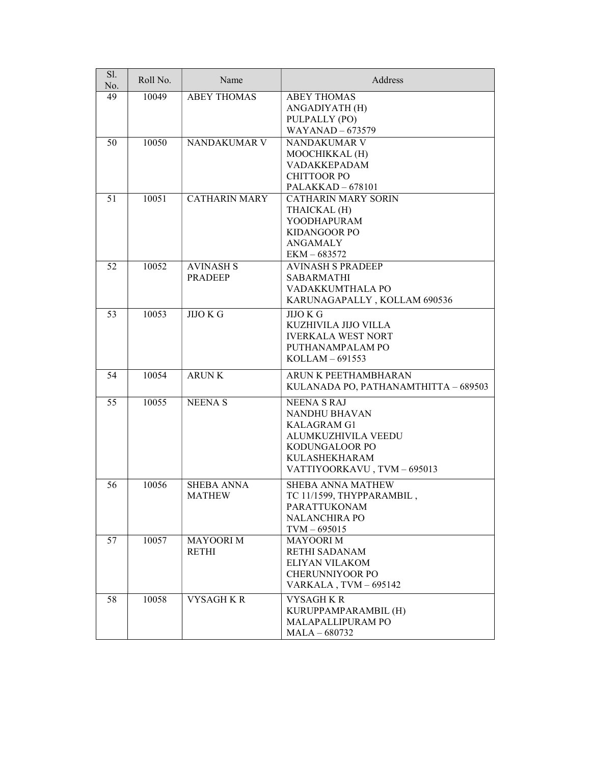| Sl.<br>No. | Roll No. | Name                               | Address                                                                                                                                                 |
|------------|----------|------------------------------------|---------------------------------------------------------------------------------------------------------------------------------------------------------|
| 49         | 10049    | <b>ABEY THOMAS</b>                 | <b>ABEY THOMAS</b><br>ANGADIYATH (H)<br>PULPALLY (PO)<br><b>WAYANAD - 673579</b>                                                                        |
| 50         | 10050    | NANDAKUMAR V                       | NANDAKUMAR V<br>MOOCHIKKAL (H)<br>VADAKKEPADAM<br><b>CHITTOOR PO</b><br>PALAKKAD - 678101                                                               |
| 51         | 10051    | <b>CATHARIN MARY</b>               | <b>CATHARIN MARY SORIN</b><br>THAICKAL (H)<br>YOODHAPURAM<br><b>KIDANGOOR PO</b><br><b>ANGAMALY</b><br>EKM-683572                                       |
| 52         | 10052    | <b>AVINASH S</b><br><b>PRADEEP</b> | <b>AVINASH S PRADEEP</b><br><b>SABARMATHI</b><br>VADAKKUMTHALA PO<br>KARUNAGAPALLY, KOLLAM 690536                                                       |
| 53         | 10053    | $JIO$ $\overline{KG}$              | <b>JIJO K G</b><br>KUZHIVILA JIJO VILLA<br><b>IVERKALA WEST NORT</b><br>PUTHANAMPALAM PO<br>$KOLLAM - 691553$                                           |
| 54         | 10054    | <b>ARUNK</b>                       | ARUN K PEETHAMBHARAN<br>KULANADA PO, PATHANAMTHITTA - 689503                                                                                            |
| 55         | 10055    | <b>NEENAS</b>                      | <b>NEENA S RAJ</b><br>NANDHU BHAVAN<br><b>KALAGRAM G1</b><br>ALUMKUZHIVILA VEEDU<br>KODUNGALOOR PO<br><b>KULASHEKHARAM</b><br>VATTIYOORKAVU, TVM-695013 |
| 56         | 10056    | <b>SHEBA ANNA</b><br><b>MATHEW</b> | <b>SHEBA ANNA MATHEW</b><br>TC 11/1599, THYPPARAMBIL,<br><b>PARATTUKONAM</b><br><b>NALANCHIRA PO</b><br>$TVM - 695015$                                  |
| 57         | 10057    | <b>MAYOORI M</b><br><b>RETHI</b>   | <b>MAYOORI M</b><br><b>RETHI SADANAM</b><br>ELIYAN VILAKOM<br><b>CHERUNNIYOOR PO</b><br>VARKALA, TVM-695142                                             |
| 58         | 10058    | <b>VYSAGH KR</b>                   | <b>VYSAGH K R</b><br>KURUPPAMPARAMBIL (H)<br><b>MALAPALLIPURAM PO</b><br>$MALA - 680732$                                                                |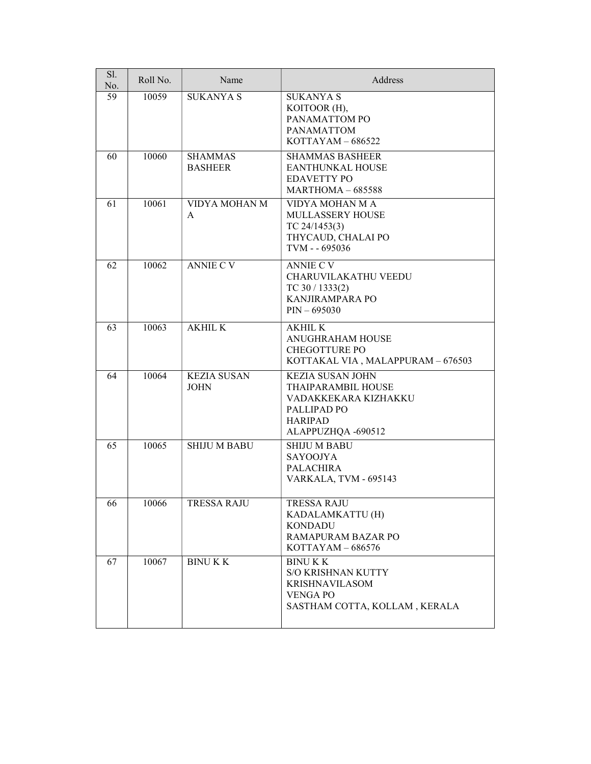| Sl.<br>No. | Roll No. | Name                              | Address                                                                                                                                 |
|------------|----------|-----------------------------------|-----------------------------------------------------------------------------------------------------------------------------------------|
| 59         | 10059    | <b>SUKANYA S</b>                  | <b>SUKANYA S</b><br>KOITOOR (H),<br>PANAMATTOM PO<br><b>PANAMATTOM</b><br>$KOTTAYAM - 686522$                                           |
| 60         | 10060    | <b>SHAMMAS</b><br><b>BASHEER</b>  | <b>SHAMMAS BASHEER</b><br><b>EANTHUNKAL HOUSE</b><br><b>EDAVETTY PO</b><br>$MARTHOMA - 685588$                                          |
| 61         | 10061    | VIDYA MOHAN M<br>A                | VIDYA MOHAN M A<br>MULLASSERY HOUSE<br>TC $24/1453(3)$<br>THYCAUD, CHALAI PO<br>TVM - - 695036                                          |
| 62         | 10062    | <b>ANNIE C V</b>                  | <b>ANNIE C V</b><br><b>CHARUVILAKATHU VEEDU</b><br>TC $30/1333(2)$<br>KANJIRAMPARA PO<br>$PIN - 695030$                                 |
| 63         | 10063    | <b>AKHIL K</b>                    | <b>AKHIL K</b><br><b>ANUGHRAHAM HOUSE</b><br><b>CHEGOTTURE PO</b><br>KOTTAKAL VIA, MALAPPURAM - 676503                                  |
| 64         | 10064    | <b>KEZIA SUSAN</b><br><b>JOHN</b> | <b>KEZIA SUSAN JOHN</b><br>THAIPARAMBIL HOUSE<br>VADAKKEKARA KIZHAKKU<br>PALLIPAD <sub>PO</sub><br><b>HARIPAD</b><br>ALAPPUZHQA -690512 |
| 65         | 10065    | <b>SHIJU M BABU</b>               | <b>SHIJU M BABU</b><br><b>SAYOOJYA</b><br><b>PALACHIRA</b><br>VARKALA, TVM - 695143                                                     |
| 66         | 10066    | TRESSA RAJU                       | TRESSA RAJU<br>KADALAMKATTU (H)<br><b>KONDADU</b><br>RAMAPURAM BAZAR PO<br>$KOTTAYAM - 686576$                                          |
| 67         | 10067    | <b>BINUKK</b>                     | <b>BINUKK</b><br>S/O KRISHNAN KUTTY<br><b>KRISHNAVILASOM</b><br><b>VENGA PO</b><br>SASTHAM COTTA, KOLLAM, KERALA                        |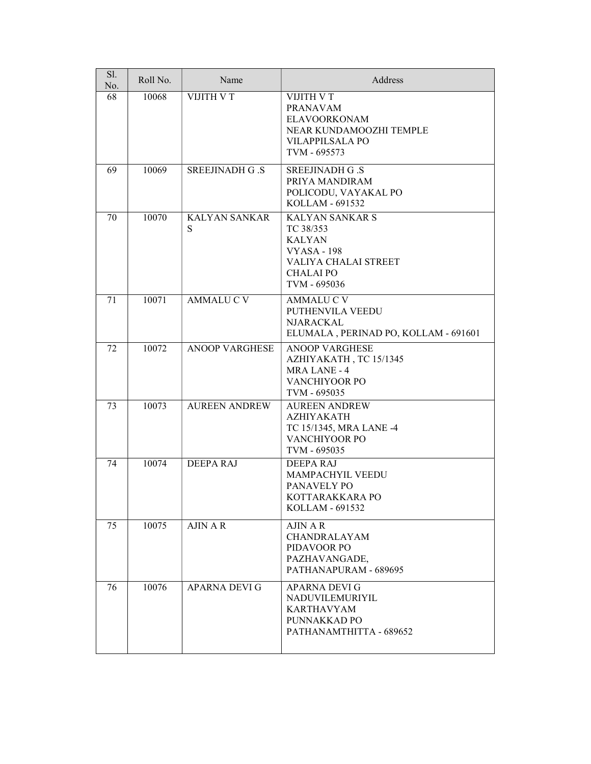| Sl.<br>No. | Roll No. | Name                      | Address                                                                                                                                |
|------------|----------|---------------------------|----------------------------------------------------------------------------------------------------------------------------------------|
| 68         | 10068    | VIJITH V T                | VIJITH V T<br><b>PRANAVAM</b><br><b>ELAVOORKONAM</b><br>NEAR KUNDAMOOZHI TEMPLE<br><b>VILAPPILSALA PO</b><br>TVM - 695573              |
| 69         | 10069    | <b>SREEJINADH G.S</b>     | <b>SREEJINADH G.S</b><br>PRIYA MANDIRAM<br>POLICODU, VAYAKAL PO<br>KOLLAM - 691532                                                     |
| 70         | 10070    | <b>KALYAN SANKAR</b><br>S | <b>KALYAN SANKAR S</b><br>TC 38/353<br><b>KALYAN</b><br><b>VYASA - 198</b><br>VALIYA CHALAI STREET<br><b>CHALAI PO</b><br>TVM - 695036 |
| 71         | 10071    | <b>AMMALUCV</b>           | <b>AMMALUCV</b><br>PUTHENVILA VEEDU<br><b>NJARACKAL</b><br>ELUMALA, PERINAD PO, KOLLAM - 691601                                        |
| 72         | 10072    | <b>ANOOP VARGHESE</b>     | <b>ANOOP VARGHESE</b><br>AZHIYAKATH, TC 15/1345<br><b>MRA LANE - 4</b><br>VANCHIYOOR PO<br>TVM - 695035                                |
| 73         | 10073    | <b>AUREEN ANDREW</b>      | <b>AUREEN ANDREW</b><br><b>AZHIYAKATH</b><br>TC 15/1345, MRA LANE -4<br>VANCHIYOOR PO<br>TVM - 695035                                  |
| 74         | 10074    | <b>DEEPA RAJ</b>          | DEEPARAJ<br>MAMPACHYIL VEEDU<br>PANAVELY PO<br>KOTTARAKKARA PO<br>KOLLAM - 691532                                                      |
| 75         | 10075    | <b>AJIN A R</b>           | AJIN A R<br>CHANDRALAYAM<br>PIDAVOOR PO<br>PAZHAVANGADE,<br>PATHANAPURAM - 689695                                                      |
| 76         | 10076    | <b>APARNA DEVI G</b>      | APARNA DEVI G<br><b>NADUVILEMURIYIL</b><br><b>KARTHAVYAM</b><br>PUNNAKKAD PO<br>PATHANAMTHITTA - 689652                                |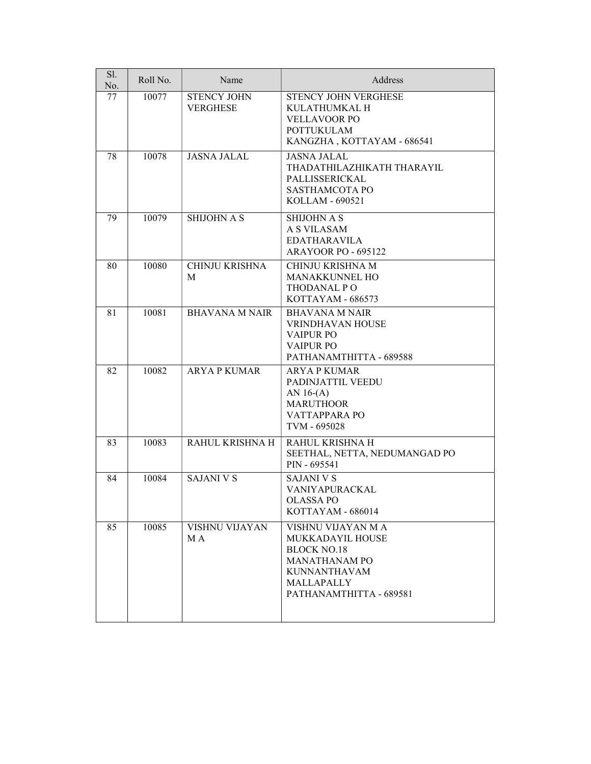| Sl.<br>No. | Roll No. | Name                                  | Address                                                                                                                                              |
|------------|----------|---------------------------------------|------------------------------------------------------------------------------------------------------------------------------------------------------|
| 77         | 10077    | <b>STENCY JOHN</b><br><b>VERGHESE</b> | STENCY JOHN VERGHESE<br>KULATHUMKAL H<br><b>VELLAVOOR PO</b><br><b>POTTUKULAM</b><br>KANGZHA, KOTTAYAM - 686541                                      |
| 78         | 10078    | <b>JASNA JALAL</b>                    | <b>JASNA JALAL</b><br>THADATHILAZHIKATH THARAYIL<br>PALLISSERICKAL<br>SASTHAMCOTA PO<br>KOLLAM - 690521                                              |
| 79         | 10079    | <b>SHIJOHN A S</b>                    | <b>SHIJOHN A S</b><br>A S VILASAM<br><b>EDATHARAVILA</b><br><b>ARAYOOR PO - 695122</b>                                                               |
| 80         | 10080    | <b>CHINJU KRISHNA</b><br>M            | CHINJU KRISHNA M<br>MANAKKUNNEL HO<br>THODANAL PO<br>KOTTAYAM - 686573                                                                               |
| 81         | 10081    | <b>BHAVANA M NAIR</b>                 | <b>BHAVANA M NAIR</b><br><b>VRINDHAVAN HOUSE</b><br><b>VAIPUR PO</b><br><b>VAIPUR PO</b><br>PATHANAMTHITTA - 689588                                  |
| 82         | 10082    | <b>ARYA P KUMAR</b>                   | <b>ARYA P KUMAR</b><br>PADINJATTIL VEEDU<br>AN $16-(A)$<br><b>MARUTHOOR</b><br>VATTAPPARA PO<br>TVM - 695028                                         |
| 83         | 10083    | RAHUL KRISHNA H                       | RAHUL KRISHNA H<br>SEETHAL, NETTA, NEDUMANGAD PO<br>PIN - 695541                                                                                     |
| 84         | 10084    | <b>SAJANI V S</b>                     | <b>SAJANI V S</b><br>VANIYAPURACKAL<br>OLASSA PO<br>KOTTAYAM - 686014                                                                                |
| 85         | 10085    | VISHNU VIJAYAN<br>M A                 | VISHNU VIJAYAN M A<br>MUKKADAYIL HOUSE<br><b>BLOCK NO.18</b><br><b>MANATHANAM PO</b><br><b>KUNNANTHAVAM</b><br>MALLAPALLY<br>PATHANAMTHITTA - 689581 |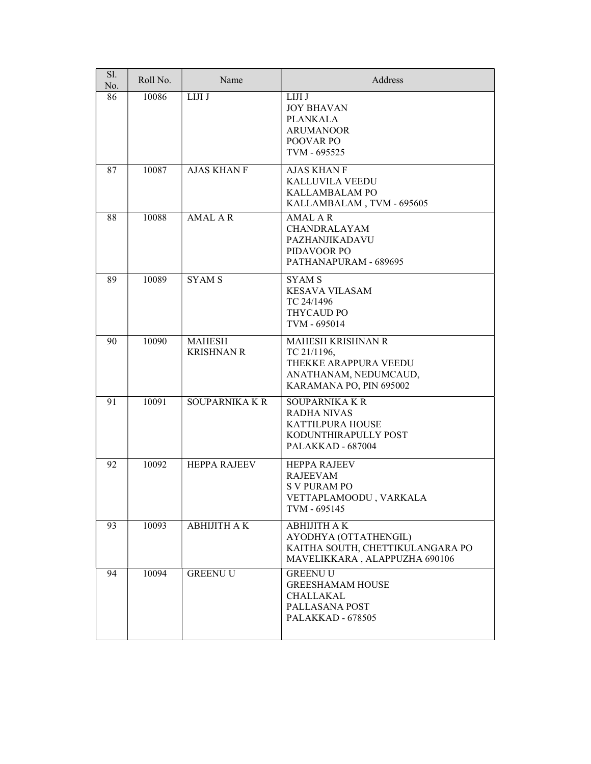| Sl.<br>No. | Roll No. | Name                               | Address                                                                                                             |
|------------|----------|------------------------------------|---------------------------------------------------------------------------------------------------------------------|
| 86         | 10086    | LIJI J                             | LIJI J<br><b>JOY BHAVAN</b><br><b>PLANKALA</b><br><b>ARUMANOOR</b><br><b>POOVAR PO</b><br>TVM - 695525              |
| 87         | 10087    | <b>AJAS KHAN F</b>                 | <b>AJAS KHAN F</b><br><b>KALLUVILA VEEDU</b><br><b>KALLAMBALAM PO</b><br>KALLAMBALAM, TVM - 695605                  |
| 88         | 10088    | <b>AMAL AR</b>                     | <b>AMAL AR</b><br>CHANDRALAYAM<br>PAZHANJIKADAVU<br>PIDAVOOR PO<br>PATHANAPURAM - 689695                            |
| 89         | 10089    | <b>SYAMS</b>                       | <b>SYAMS</b><br><b>KESAVA VILASAM</b><br>TC 24/1496<br><b>THYCAUD PO</b><br>TVM - 695014                            |
| 90         | 10090    | <b>MAHESH</b><br><b>KRISHNAN R</b> | MAHESH KRISHNAN R<br>TC 21/1196,<br>THEKKE ARAPPURA VEEDU<br>ANATHANAM, NEDUMCAUD,<br>KARAMANA PO, PIN 695002       |
| 91         | 10091    | <b>SOUPARNIKA K R</b>              | <b>SOUPARNIKA K R</b><br><b>RADHA NIVAS</b><br><b>KATTILPURA HOUSE</b><br>KODUNTHIRAPULLY POST<br>PALAKKAD - 687004 |
| 92         | 10092    | <b>HEPPA RAJEEV</b>                | <b>HEPPA RAJEEV</b><br><b>RAJEEVAM</b><br><b>SV PURAM PO</b><br>VETTAPLAMOODU, VARKALA<br>TVM - 695145              |
| 93         | 10093    | АВНІЛТНАК                          | <b>ABHIJITH A K</b><br>AYODHYA (OTTATHENGIL)<br>KAITHA SOUTH, CHETTIKULANGARA PO<br>MAVELIKKARA, ALAPPUZHA 690106   |
| 94         | 10094    | <b>GREENU U</b>                    | <b>GREENU U</b><br><b>GREESHAMAM HOUSE</b><br>CHALLAKAL<br>PALLASANA POST<br><b>PALAKKAD - 678505</b>               |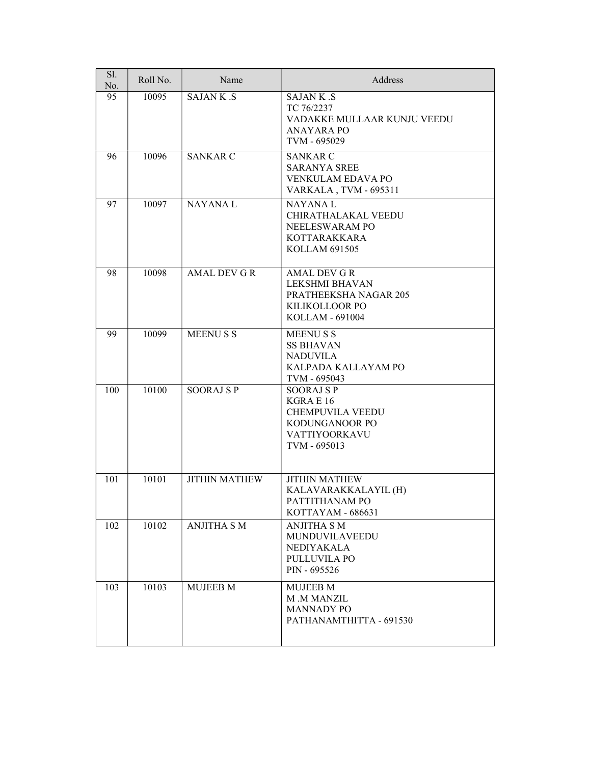| Sl.<br>No. | Roll No. | Name                 | Address                                                                                                           |
|------------|----------|----------------------|-------------------------------------------------------------------------------------------------------------------|
| 95         | 10095    | <b>SAJANK.S</b>      | <b>SAJANK.S</b><br>TC 76/2237<br>VADAKKE MULLAAR KUNJU VEEDU<br>ANAYARA PO<br>TVM - 695029                        |
| 96         | 10096    | <b>SANKAR C</b>      | <b>SANKAR C</b><br><b>SARANYA SREE</b><br>VENKULAM EDAVA PO<br>VARKALA, TVM - 695311                              |
| 97         | 10097    | <b>NAYANAL</b>       | <b>NAYANAL</b><br>CHIRATHALAKAL VEEDU<br>NEELESWARAM PO<br><b>KOTTARAKKARA</b><br>KOLLAM 691505                   |
| 98         | 10098    | <b>AMAL DEV G R</b>  | <b>AMAL DEV G R</b><br>LEKSHMI BHAVAN<br>PRATHEEKSHA NAGAR 205<br>KILIKOLLOOR PO<br>KOLLAM - 691004               |
| 99         | 10099    | <b>MEENUSS</b>       | <b>MEENUSS</b><br><b>SS BHAVAN</b><br><b>NADUVILA</b><br>KALPADA KALLAYAM PO<br>TVM - 695043                      |
| 100        | 10100    | <b>SOORAJ SP</b>     | <b>SOORAJ SP</b><br>KGRAE 16<br><b>CHEMPUVILA VEEDU</b><br>KODUNGANOOR PO<br><b>VATTIYOORKAVU</b><br>TVM - 695013 |
| 101        | 10101    | <b>JITHIN MATHEW</b> | <b>JITHIN MATHEW</b><br>KALAVARAKKALAYIL (H)<br>PATTITHANAM PO<br>KOTTAYAM - 686631                               |
| 102        | 10102    | <b>ANJITHA S M</b>   | ANJITHA S M<br>MUNDUVILAVEEDU<br>NEDIYAKALA<br>PULLUVILA PO<br>PIN - 695526                                       |
| 103        | 10103    | <b>MUJEEB M</b>      | <b>MUJEEB M</b><br>M .M MANZIL<br><b>MANNADY PO</b><br>PATHANAMTHITTA - 691530                                    |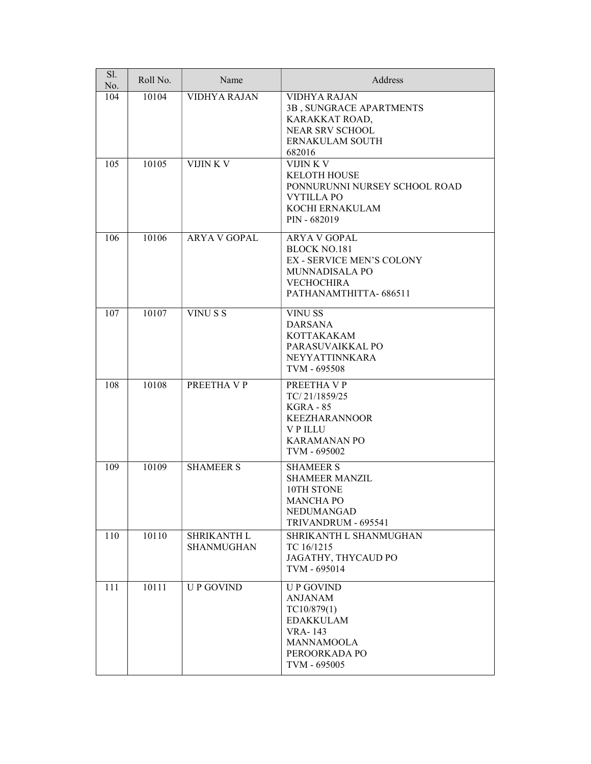| Sl.<br>No. | Roll No. | Name                             | Address                                                                                                                                 |
|------------|----------|----------------------------------|-----------------------------------------------------------------------------------------------------------------------------------------|
| 104        | 10104    | <b>VIDHYA RAJAN</b>              | <b>VIDHYA RAJAN</b><br>3B, SUNGRACE APARTMENTS<br>KARAKKAT ROAD,<br>NEAR SRV SCHOOL<br>ERNAKULAM SOUTH<br>682016                        |
| 105        | 10105    | VIJIN K V                        | VIJIN K V<br><b>KELOTH HOUSE</b><br>PONNURUNNI NURSEY SCHOOL ROAD<br><b>VYTILLA PO</b><br>KOCHI ERNAKULAM<br>PIN - 682019               |
| 106        | 10106    | <b>ARYA V GOPAL</b>              | ARYA V GOPAL<br><b>BLOCK NO.181</b><br><b>EX - SERVICE MEN'S COLONY</b><br>MUNNADISALA PO<br><b>VECHOCHIRA</b><br>PATHANAMTHITTA-686511 |
| 107        | 10107    | VINU S S                         | <b>VINUSS</b><br><b>DARSANA</b><br><b>KOTTAKAKAM</b><br>PARASUVAIKKAL PO<br><b>NEYYATTINNKARA</b><br>TVM - 695508                       |
| 108        | 10108    | PREETHA VP                       | PREETHA V P<br>TC/21/1859/25<br><b>KGRA - 85</b><br><b>KEEZHARANNOOR</b><br><b>VPILLU</b><br><b>KARAMANAN PO</b><br>TVM - 695002        |
| 109        | 10109    | <b>SHAMEER S</b>                 | <b>SHAMEER S</b><br><b>SHAMEER MANZIL</b><br>10TH STONE<br><b>MANCHA PO</b><br>NEDUMANGAD<br>TRIVANDRUM - 695541                        |
| 110        | 10110    | SHRIKANTH L<br><b>SHANMUGHAN</b> | SHRIKANTH L SHANMUGHAN<br>TC 16/1215<br>JAGATHY, THYCAUD PO<br>TVM - 695014                                                             |
| 111        | 10111    | <b>UP GOVIND</b>                 | <b>UP GOVIND</b><br><b>ANJANAM</b><br>TC10/879(1)<br><b>EDAKKULAM</b><br><b>VRA-143</b><br>MANNAMOOLA<br>PEROORKADA PO<br>TVM - 695005  |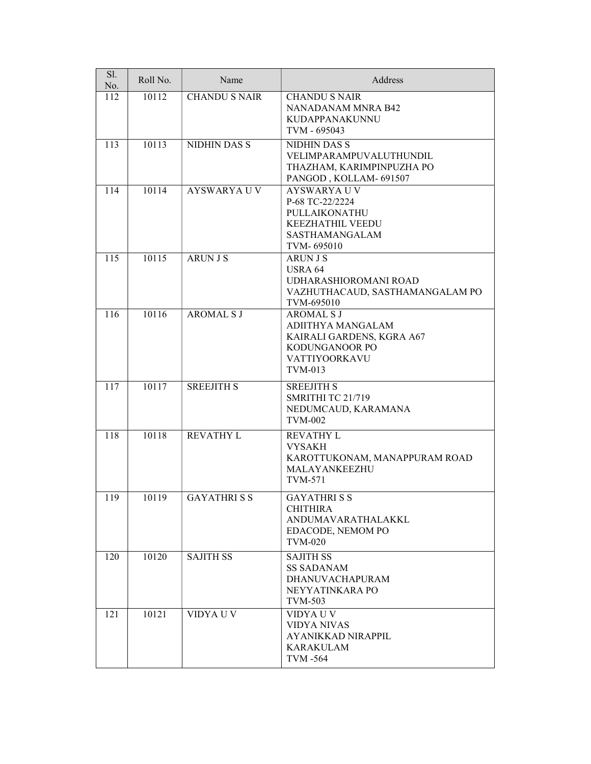| Sl.<br>No. | Roll No. | Name                 | Address                                                                                                                   |
|------------|----------|----------------------|---------------------------------------------------------------------------------------------------------------------------|
| 112        | 10112    | <b>CHANDU S NAIR</b> | <b>CHANDU S NAIR</b><br>NANADANAM MNRA B42<br><b>KUDAPPANAKUNNU</b><br>TVM - 695043                                       |
| 113        | 10113    | NIDHIN DAS S         | <b>NIDHIN DAS S</b><br>VELIMPARAMPUVALUTHUNDIL<br>THAZHAM, KARIMPINPUZHA PO<br>PANGOD, KOLLAM- 691507                     |
| 114        | 10114    | <b>AYSWARYA U V</b>  | <b>AYSWARYA U V</b><br>P-68 TC-22/2224<br>PULLAIKONATHU<br><b>KEEZHATHIL VEEDU</b><br><b>SASTHAMANGALAM</b><br>TVM-695010 |
| 115        | 10115    | <b>ARUN J S</b>      | <b>ARUN J S</b><br><b>USRA 64</b><br>UDHARASHIOROMANI ROAD<br>VAZHUTHACAUD, SASTHAMANGALAM PO<br>TVM-695010               |
| 116        | 10116    | <b>AROMAL S J</b>    | <b>AROMAL S J</b><br>ADIITHYA MANGALAM<br>KAIRALI GARDENS, KGRA A67<br>KODUNGANOOR PO<br>VATTIYOORKAVU<br>TVM-013         |
| 117        | 10117    | <b>SREEJITH S</b>    | <b>SREEJITH S</b><br>SMRITHI TC 21/719<br>NEDUMCAUD, KARAMANA<br><b>TVM-002</b>                                           |
| 118        | 10118    | <b>REVATHY L</b>     | <b>REVATHY L</b><br><b>VYSAKH</b><br>KAROTTUKONAM, MANAPPURAM ROAD<br>MALAYANKEEZHU<br><b>TVM-571</b>                     |
| 119        | 10119    | <b>GAYATHRISS</b>    | <b>GAYATHRISS</b><br><b>CHITHIRA</b><br>ANDUMAVARATHALAKKL<br>EDACODE, NEMOM PO<br><b>TVM-020</b>                         |
| 120        | 10120    | <b>SAJITH SS</b>     | <b>SAJITH SS</b><br><b>SS SADANAM</b><br><b>DHANUVACHAPURAM</b><br>NEYYATINKARA PO<br>TVM-503                             |
| 121        | 10121    | VIDYA U V            | VIDYA U V<br><b>VIDYA NIVAS</b><br>AYANIKKAD NIRAPPIL<br><b>KARAKULAM</b><br>TVM -564                                     |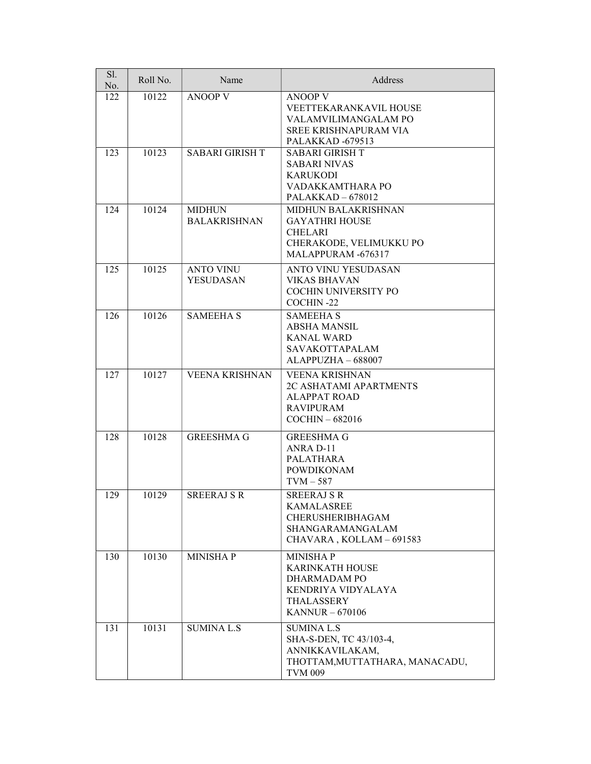| Sl.<br>No. | Roll No. | Name                                 | Address                                                                                                                |
|------------|----------|--------------------------------------|------------------------------------------------------------------------------------------------------------------------|
| 122        | 10122    | <b>ANOOP V</b>                       | <b>ANOOP V</b><br><b>VEETTEKARANKAVIL HOUSE</b><br>VALAMVILIMANGALAM PO<br>SREE KRISHNAPURAM VIA<br>PALAKKAD-679513    |
| 123        | 10123    | <b>SABARI GIRISH T</b>               | <b>SABARI GIRISH T</b><br><b>SABARI NIVAS</b><br><b>KARUKODI</b><br>VADAKKAMTHARA PO<br>$PALAKKAD - 678012$            |
| 124        | 10124    | <b>MIDHUN</b><br><b>BALAKRISHNAN</b> | <b>MIDHUN BALAKRISHNAN</b><br><b>GAYATHRI HOUSE</b><br><b>CHELARI</b><br>CHERAKODE, VELIMUKKU PO<br>MALAPPURAM -676317 |
| 125        | 10125    | <b>ANTO VINU</b><br><b>YESUDASAN</b> | <b>ANTO VINU YESUDASAN</b><br><b>VIKAS BHAVAN</b><br>COCHIN UNIVERSITY PO<br>COCHIN-22                                 |
| 126        | 10126    | <b>SAMEEHA S</b>                     | <b>SAMEEHA S</b><br><b>ABSHA MANSIL</b><br><b>KANAL WARD</b><br><b>SAVAKOTTAPALAM</b><br>ALAPPUZHA - 688007            |
| 127        | 10127    | VEENA KRISHNAN                       | <b>VEENA KRISHNAN</b><br>2C ASHATAMI APARTMENTS<br><b>ALAPPAT ROAD</b><br><b>RAVIPURAM</b><br>$COCHIN - 682016$        |
| 128        | 10128    | <b>GREESHMA G</b>                    | <b>GREESHMA G</b><br>ANRA D-11<br><b>PALATHARA</b><br><b>POWDIKONAM</b><br>$TVM - 587$                                 |
| 129        | 10129    | <b>SREERAJ S R</b>                   | <b>SREERAJ S R</b><br><b>KAMALASREE</b><br>CHERUSHERIBHAGAM<br>SHANGARAMANGALAM<br>CHAVARA, KOLLAM - 691583            |
| 130        | 10130    | <b>MINISHAP</b>                      | <b>MINISHAP</b><br><b>KARINKATH HOUSE</b><br>DHARMADAM PO<br>KENDRIYA VIDYALAYA<br>THALASSERY<br>KANNUR $-670106$      |
| 131        | 10131    | <b>SUMINA L.S</b>                    | <b>SUMINA L.S</b><br>SHA-S-DEN, TC 43/103-4,<br>ANNIKKAVILAKAM,<br>THOTTAM, MUTTATHARA, MANACADU,<br><b>TVM 009</b>    |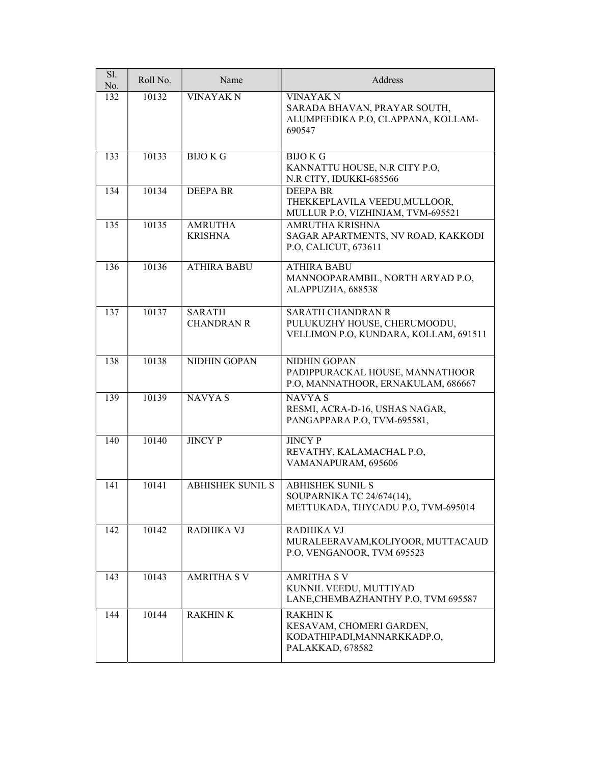| $\overline{SI}$ .<br>No. | Roll No. | Name                               | Address                                                                                           |
|--------------------------|----------|------------------------------------|---------------------------------------------------------------------------------------------------|
| 132                      | 10132    | <b>VINAYAK N</b>                   | <b>VINAYAK N</b><br>SARADA BHAVAN, PRAYAR SOUTH,<br>ALUMPEEDIKA P.O, CLAPPANA, KOLLAM-<br>690547  |
| 133                      | 10133    | <b>BIJOKG</b>                      | <b>BIJO K G</b><br>KANNATTU HOUSE, N.R CITY P.O,<br>N.R CITY, IDUKKI-685566                       |
| 134                      | 10134    | <b>DEEPA BR</b>                    | <b>DEEPA BR</b><br>THEKKEPLAVILA VEEDU, MULLOOR,<br>MULLUR P.O, VIZHINJAM, TVM-695521             |
| 135                      | 10135    | <b>AMRUTHA</b><br><b>KRISHNA</b>   | AMRUTHA KRISHNA<br>SAGAR APARTMENTS, NV ROAD, KAKKODI<br>P.O, CALICUT, 673611                     |
| 136                      | 10136    | <b>ATHIRA BABU</b>                 | <b>ATHIRA BABU</b><br>MANNOOPARAMBIL, NORTH ARYAD P.O.<br>ALAPPUZHA, 688538                       |
| 137                      | 10137    | <b>SARATH</b><br><b>CHANDRAN R</b> | <b>SARATH CHANDRAN R</b><br>PULUKUZHY HOUSE, CHERUMOODU,<br>VELLIMON P.O, KUNDARA, KOLLAM, 691511 |
| 138                      | 10138    | NIDHIN GOPAN                       | NIDHIN GOPAN<br>PADIPPURACKAL HOUSE, MANNATHOOR<br>P.O, MANNATHOOR, ERNAKULAM, 686667             |
| 139                      | 10139    | <b>NAVYAS</b>                      | <b>NAVYAS</b><br>RESMI, ACRA-D-16, USHAS NAGAR,<br>PANGAPPARA P.O. TVM-695581,                    |
| 140                      | 10140    | <b>JINCY P</b>                     | <b>JINCY P</b><br>REVATHY, KALAMACHAL P.O,<br>VAMANAPURAM, 695606                                 |
| 141                      | 10141    | <b>ABHISHEK SUNIL S</b>            | <b>ABHISHEK SUNIL S</b><br>SOUPARNIKA TC 24/674(14),<br>METTUKADA, THYCADU P.O, TVM-695014        |
| 142                      | 10142    | <b>RADHIKA VJ</b>                  | <b>RADHIKA VJ</b><br>MURALEERAVAM, KOLIYOOR, MUTTACAUD<br>P.O, VENGANOOR, TVM 695523              |
| 143                      | 10143    | <b>AMRITHA S V</b>                 | <b>AMRITHA S V</b><br>KUNNIL VEEDU, MUTTIYAD<br>LANE, CHEMBAZHANTHY P.O., TVM 695587              |
| 144                      | 10144    | <b>RAKHINK</b>                     | <b>RAKHINK</b><br>KESAVAM, CHOMERI GARDEN,<br>KODATHIPADI, MANNARKKADP.O,<br>PALAKKAD, 678582     |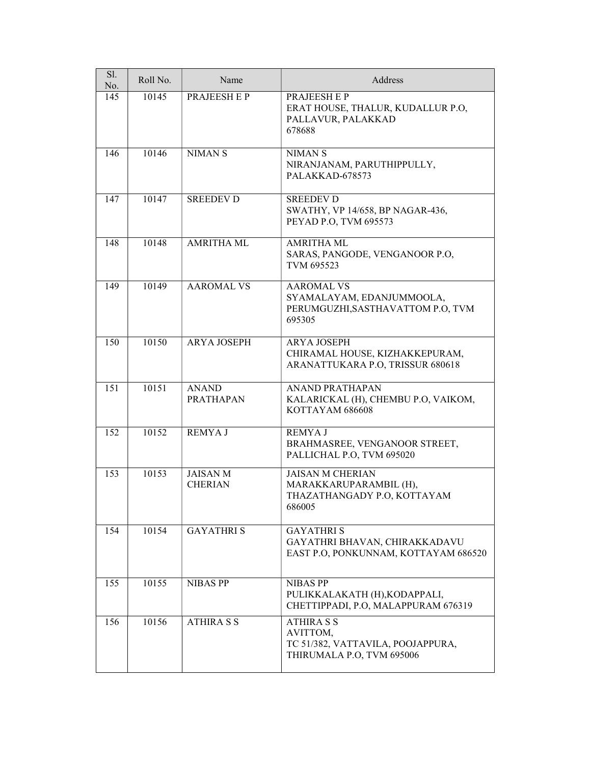| Sl.<br>No. | Roll No. | Name                              | Address                                                                                         |
|------------|----------|-----------------------------------|-------------------------------------------------------------------------------------------------|
| 145        | 10145    | PRAJEESH E P                      | <b>PRAJEESHEP</b><br>ERAT HOUSE, THALUR, KUDALLUR P.O.<br>PALLAVUR, PALAKKAD<br>678688          |
| 146        | 10146    | <b>NIMANS</b>                     | <b>NIMANS</b><br>NIRANJANAM, PARUTHIPPULLY,<br>PALAKKAD-678573                                  |
| 147        | 10147    | <b>SREEDEV D</b>                  | <b>SREEDEV D</b><br>SWATHY, VP 14/658, BP NAGAR-436,<br>PEYAD P.O, TVM 695573                   |
| 148        | 10148    | <b>AMRITHA ML</b>                 | <b>AMRITHA ML</b><br>SARAS, PANGODE, VENGANOOR P.O,<br>TVM 695523                               |
| 149        | 10149    | <b>AAROMAL VS</b>                 | <b>AAROMAL VS</b><br>SYAMALAYAM, EDANJUMMOOLA,<br>PERUMGUZHI, SASTHAVATTOM P.O., TVM<br>695305  |
| 150        | 10150    | <b>ARYA JOSEPH</b>                | <b>ARYA JOSEPH</b><br>CHIRAMAL HOUSE, KIZHAKKEPURAM,<br>ARANATTUKARA P.O, TRISSUR 680618        |
| 151        | 10151    | <b>ANAND</b><br><b>PRATHAPAN</b>  | <b>ANAND PRATHAPAN</b><br>KALARICKAL (H), CHEMBU P.O, VAIKOM,<br>KOTTAYAM 686608                |
| 152        | 10152    | <b>REMYAJ</b>                     | <b>REMYAJ</b><br>BRAHMASREE, VENGANOOR STREET,<br>PALLICHAL P.O, TVM 695020                     |
| 153        | 10153    | <b>JAISAN M</b><br><b>CHERIAN</b> | <b>JAISAN M CHERIAN</b><br>MARAKKARUPARAMBIL (H),<br>THAZATHANGADY P.O, KOTTAYAM<br>686005      |
| 154        | 10154    | <b>GAYATHRIS</b>                  | <b>GAYATHRIS</b><br>GAYATHRI BHAVAN, CHIRAKKADAVU<br>EAST P.O, PONKUNNAM, KOTTAYAM 686520       |
| 155        | 10155    | <b>NIBAS PP</b>                   | <b>NIBAS PP</b><br>PULIKKALAKATH (H), KODAPPALI,<br>CHETTIPPADI, P.O. MALAPPURAM 676319         |
| 156        | 10156    | <b>ATHIRA S S</b>                 | <b>ATHIRA S S</b><br>AVITTOM,<br>TC 51/382, VATTAVILA, POOJAPPURA,<br>THIRUMALA P.O, TVM 695006 |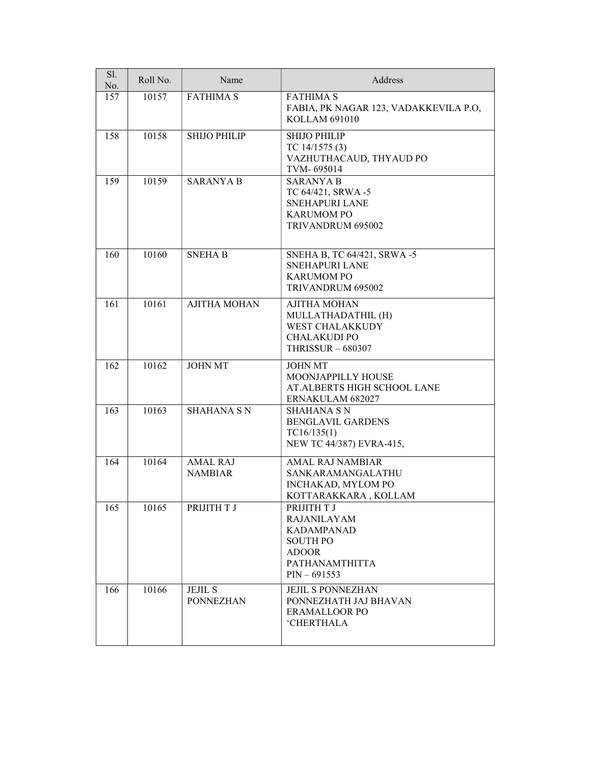| Sl.<br>No. | Roll No. | Name                               | Address                                                                                                                              |
|------------|----------|------------------------------------|--------------------------------------------------------------------------------------------------------------------------------------|
| 157        | 10157    | <b>FATHIMA S</b>                   | <b>FATHIMA S</b><br>FABIA, PK NAGAR 123, VADAKKEVILA P.O,<br>KOLLAM 691010                                                           |
| 158        | 10158    | <b>SHIJO PHILIP</b>                | <b>SHIJO PHILIP</b><br>TC $14/1575(3)$<br>VAZHUTHACAUD, THYAUD PO<br>TVM-695014                                                      |
| 159        | 10159    | <b>SARANYA B</b>                   | <b>SARANYA B</b><br>TC 64/421, SRWA -5<br><b>SNEHAPURI LANE</b><br><b>KARUMOM PO</b><br>TRIVANDRUM 695002                            |
| 160        | 10160    | <b>SNEHAB</b>                      | SNEHA B, TC 64/421, SRWA -5<br><b>SNEHAPURI LANE</b><br><b>KARUMOM PO</b><br>TRIVANDRUM 695002                                       |
| 161        | 10161    | <b>AJITHA MOHAN</b>                | <b>AJITHA MOHAN</b><br>MULLATHADATHIL (H)<br>WEST CHALAKKUDY<br><b>CHALAKUDI PO</b><br><b>THRISSUR - 680307</b>                      |
| 162        | 10162    | <b>JOHN MT</b>                     | <b>JOHN MT</b><br>MOONJAPPILLY HOUSE<br>AT.ALBERTS HIGH SCHOOL LANE<br>ERNAKULAM 682027                                              |
| 163        | 10163    | <b>SHAHANA SN</b>                  | <b>SHAHANA S N</b><br>BENGLAVIL GARDENS<br>TC16/135(1)<br>NEW TC 44/387) EVRA-415,                                                   |
| 164        | 10164    | <b>AMAL RAJ</b><br><b>NAMBIAR</b>  | <b>AMAL RAJ NAMBIAR</b><br><b>SANKARAMANGALATHU</b><br>INCHAKAD, MYLOM PO<br>KOTTARAKKARA, KOLLAM                                    |
| 165        | 10165    | PRIJITH T J                        | PRIJITH T J<br><b>RAJANILAYAM</b><br><b>KADAMPANAD</b><br><b>SOUTH PO</b><br><b>ADOOR</b><br><b>PATHANAMTHITTA</b><br>$PIN - 691553$ |
| 166        | 10166    | <b>JEJIL S</b><br><b>PONNEZHAN</b> | <b>JEJIL S PONNEZHAN</b><br>PONNEZHATH JAJ BHAVAN<br><b>ERAMALLOOR PO</b><br><b>'CHERTHALA</b>                                       |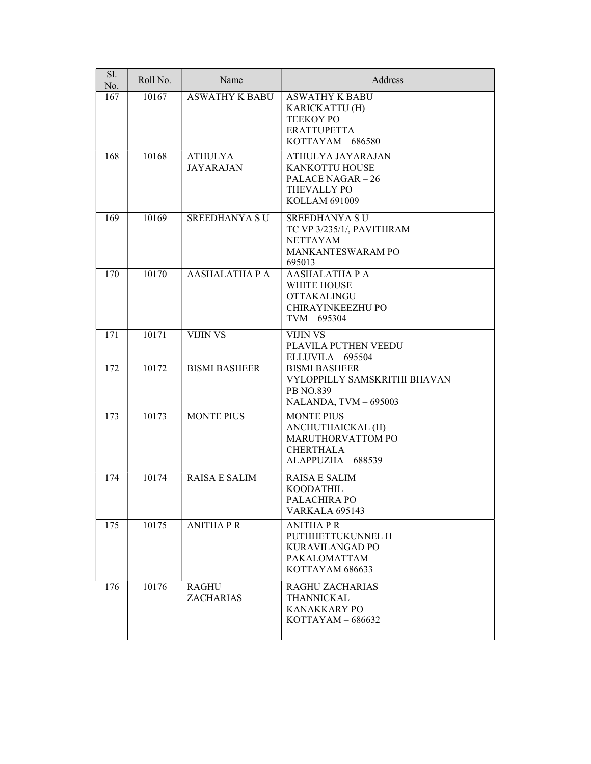| Sl.<br>No. | Roll No. | Name                               | Address                                                                                                         |
|------------|----------|------------------------------------|-----------------------------------------------------------------------------------------------------------------|
| 167        | 10167    | <b>ASWATHY K BABU</b>              | <b>ASWATHY K BABU</b><br>KARICKATTU (H)<br><b>TEEKOY PO</b><br><b>ERATTUPETTA</b><br>$KOTTAYAM - 686580$        |
| 168        | 10168    | <b>ATHULYA</b><br><b>JAYARAJAN</b> | ATHULYA JAYARAJAN<br>KANKOTTU HOUSE<br><b>PALACE NAGAR - 26</b><br>THEVALLY PO<br>KOLLAM 691009                 |
| 169        | 10169    | <b>SREEDHANYA SU</b>               | <b>SREEDHANYA SU</b><br>TC VP 3/235/1/, PAVITHRAM<br><b>NETTAYAM</b><br>MANKANTESWARAM PO<br>695013             |
| 170        | 10170    | <b>AASHALATHA P A</b>              | <b>AASHALATHA P A</b><br><b>WHITE HOUSE</b><br><b>OTTAKALINGU</b><br><b>CHIRAYINKEEZHU PO</b><br>$TVM - 695304$ |
| 171        | 10171    | <b>VIJIN VS</b>                    | <b>VIJIN VS</b><br>PLAVILA PUTHEN VEEDU<br>$ELLUVILA - 695504$                                                  |
| 172        | 10172    | <b>BISMI BASHEER</b>               | <b>BISMI BASHEER</b><br>VYLOPPILLY SAMSKRITHI BHAVAN<br><b>PB NO.839</b><br>NALANDA, TVM - 695003               |
| 173        | 10173    | <b>MONTE PIUS</b>                  | <b>MONTE PIUS</b><br>ANCHUTHAICKAL (H)<br>MARUTHORVATTOM PO<br><b>CHERTHALA</b><br>ALAPPUZHA - 688539           |
| 174        | 10174    | <b>RAISA E SALIM</b>               | <b>RAISA E SALIM</b><br><b>KOODATHIL</b><br>PALACHIRA PO<br><b>VARKALA 695143</b>                               |
| 175        | 10175    | <b>ANITHAPR</b>                    | <b>ANITHAPR</b><br>PUTHHETTUKUNNEL H<br>KURAVILANGAD PO<br>PAKALOMATTAM<br>KOTTAYAM 686633                      |
| 176        | 10176    | <b>RAGHU</b><br><b>ZACHARIAS</b>   | <b>RAGHU ZACHARIAS</b><br><b>THANNICKAL</b><br>KANAKKARY PO<br>$KOTTAYAM - 686632$                              |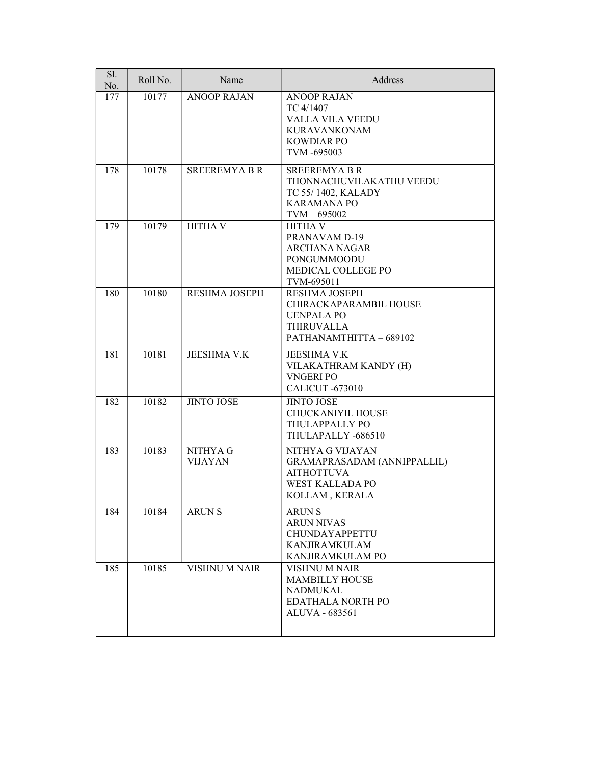| Sl.<br>No. | Roll No. | Name                       | Address                                                                                                               |
|------------|----------|----------------------------|-----------------------------------------------------------------------------------------------------------------------|
| 177        | 10177    | <b>ANOOP RAJAN</b>         | <b>ANOOP RAJAN</b><br>TC 4/1407<br>VALLA VILA VEEDU<br><b>KURAVANKONAM</b><br><b>KOWDIAR PO</b><br>TVM -695003        |
| 178        | 10178    | <b>SREEREMYABR</b>         | <b>SREEREMYABR</b><br>THONNACHUVILAKATHU VEEDU<br>TC 55/1402, KALADY<br><b>KARAMANA PO</b><br>$TVM - 695002$          |
| 179        | 10179    | <b>HITHA V</b>             | <b>HITHA V</b><br>PRANAVAM D-19<br><b>ARCHANA NAGAR</b><br>PONGUMMOODU<br>MEDICAL COLLEGE PO<br>TVM-695011            |
| 180        | 10180    | RESHMA JOSEPH              | <b>RESHMA JOSEPH</b><br>CHIRACKAPARAMBIL HOUSE<br><b>UENPALA PO</b><br><b>THIRUVALLA</b><br>PATHANAMTHITTA - 689102   |
| 181        | 10181    | <b>JEESHMA V.K</b>         | JEESHMA V.K<br>VILAKATHRAM KANDY (H)<br><b>VNGERI PO</b><br><b>CALICUT -673010</b>                                    |
| 182        | 10182    | <b>JINTO JOSE</b>          | <b>JINTO JOSE</b><br><b>CHUCKANIYIL HOUSE</b><br>THULAPPALLY PO<br>THULAPALLY -686510                                 |
| 183        | 10183    | NITHYA G<br><b>VIJAYAN</b> | NITHYA G VIJAYAN<br>GRAMAPRASADAM (ANNIPPALLIL)<br><b>AITHOTTUVA</b><br><b>WEST KALLADA PO</b><br>KOLLAM, KERALA      |
| 184        | 10184    | <b>ARUNS</b>               | <b>ARUNS</b><br><b>ARUN NIVAS</b><br><b>CHUNDAYAPPETTU</b><br>KANJIRAMKULAM<br>KANJIRAMKULAM PO                       |
| 185        | 10185    | <b>VISHNU M NAIR</b>       | <b>VISHNU M NAIR</b><br><b>MAMBILLY HOUSE</b><br><b>NADMUKAL</b><br><b>EDATHALA NORTH PO</b><br><b>ALUVA - 683561</b> |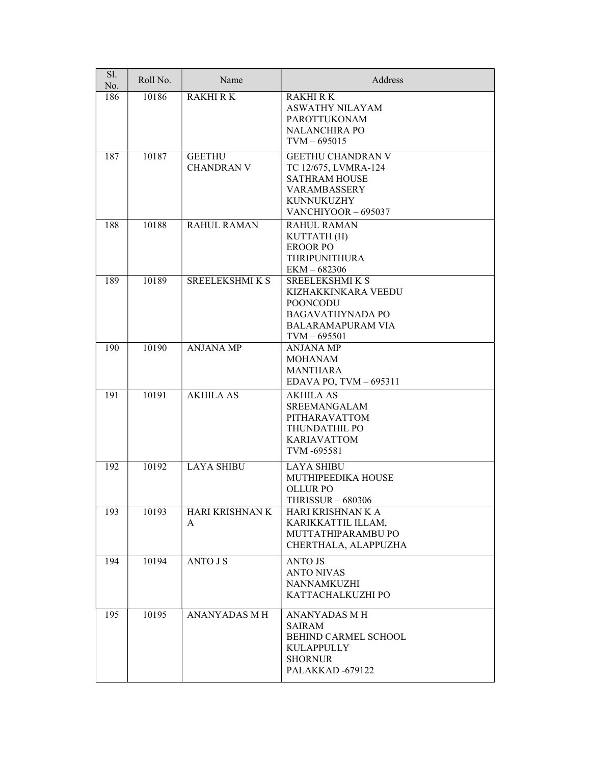| Sl.<br>No. | Roll No. | Name                               | Address                                                                                                                            |
|------------|----------|------------------------------------|------------------------------------------------------------------------------------------------------------------------------------|
| 186        | 10186    | <b>RAKHIRK</b>                     | <b>RAKHI R K</b><br><b>ASWATHY NILAYAM</b><br><b>PAROTTUKONAM</b><br><b>NALANCHIRA PO</b><br>$TVM - 695015$                        |
| 187        | 10187    | <b>GEETHU</b><br><b>CHANDRAN V</b> | <b>GEETHU CHANDRAN V</b><br>TC 12/675, LVMRA-124<br><b>SATHRAM HOUSE</b><br><b>VARAMBASSERY</b><br>KUNNUKUZHY<br>VANCHIYOOR-695037 |
| 188        | 10188    | <b>RAHUL RAMAN</b>                 | RAHUL RAMAN<br>KUTTATH (H)<br><b>EROOR PO</b><br><b>THRIPUNITHURA</b><br>$EKM - 682306$                                            |
| 189        | 10189    | <b>SREELEKSHMIKS</b>               | SREELEKSHMI K S<br>KIZHAKKINKARA VEEDU<br><b>POONCODU</b><br><b>BAGAVATHYNADA PO</b><br><b>BALARAMAPURAM VIA</b><br>$TVM - 695501$ |
| 190        | 10190    | <b>ANJANA MP</b>                   | ANJANA MP<br><b>MOHANAM</b><br><b>MANTHARA</b><br>EDAVA PO, TVM - 695311                                                           |
| 191        | 10191    | <b>AKHILA AS</b>                   | <b>AKHILA AS</b><br><b>SREEMANGALAM</b><br>PITHARAVATTOM<br>THUNDATHIL PO<br><b>KARIAVATTOM</b><br>TVM -695581                     |
| 192        | 10192    | <b>LAYA SHIBU</b>                  | <b>LAYA SHIBU</b><br>MUTHIPEEDIKA HOUSE<br><b>OLLUR PO</b><br>THRISSUR $-680306$                                                   |
| 193        | 10193    | HARI KRISHNAN K<br>A               | HARI KRISHNAN K A<br>KARIKKATTIL ILLAM,<br>MUTTATHIPARAMBU PO<br>CHERTHALA, ALAPPUZHA                                              |
| 194        | 10194    | <b>ANTO J S</b>                    | <b>ANTO JS</b><br><b>ANTO NIVAS</b><br>NANNAMKUZHI<br>KATTACHALKUZHI PO                                                            |
| 195        | 10195    | <b>ANANYADAS M H</b>               | <b>ANANYADAS M H</b><br><b>SAIRAM</b><br>BEHIND CARMEL SCHOOL<br><b>KULAPPULLY</b><br><b>SHORNUR</b><br>PALAKKAD-679122            |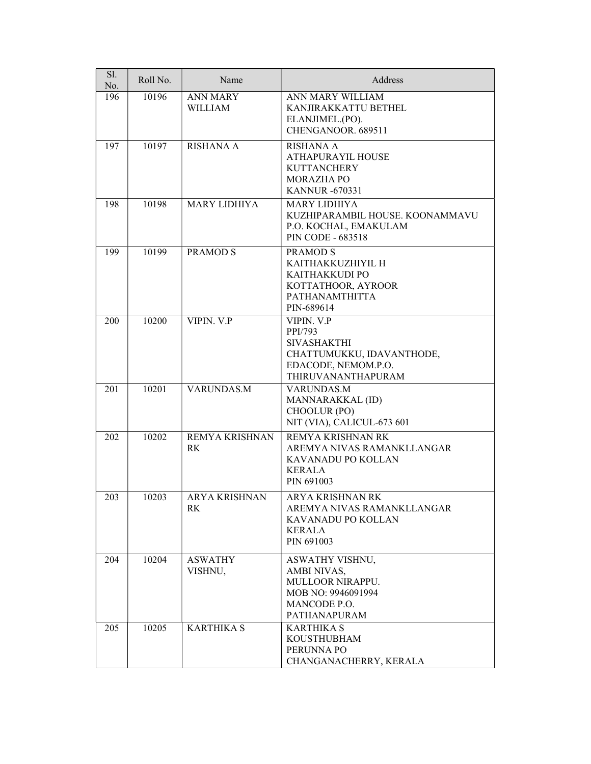| Sl.<br>No. | Roll No. | Name                              | Address                                                                                                               |
|------------|----------|-----------------------------------|-----------------------------------------------------------------------------------------------------------------------|
| 196        | 10196    | <b>ANN MARY</b><br><b>WILLIAM</b> | ANN MARY WILLIAM<br>KANJIRAKKATTU BETHEL<br>ELANJIMEL.(PO).<br>CHENGANOOR. 689511                                     |
| 197        | 10197    | <b>RISHANA A</b>                  | RISHANA A<br><b>ATHAPURAYIL HOUSE</b><br><b>KUTTANCHERY</b><br><b>MORAZHA PO</b><br><b>KANNUR -670331</b>             |
| 198        | 10198    | <b>MARY LIDHIYA</b>               | <b>MARY LIDHIYA</b><br>KUZHIPARAMBIL HOUSE. KOONAMMAVU<br>P.O. KOCHAL, EMAKULAM<br><b>PIN CODE - 683518</b>           |
| 199        | 10199    | <b>PRAMOD S</b>                   | <b>PRAMODS</b><br>KAITHAKKUZHIYIL H<br>KAITHAKKUDI PO<br>KOTTATHOOR, AYROOR<br>PATHANAMTHITTA<br>PIN-689614           |
| 200        | 10200    | VIPIN, V.P                        | VIPIN. V.P<br>PPI/793<br><b>SIVASHAKTHI</b><br>CHATTUMUKKU, IDAVANTHODE,<br>EDACODE, NEMOM.P.O.<br>THIRUVANANTHAPURAM |
| 201        | 10201    | VARUNDAS.M                        | VARUNDAS.M<br>MANNARAKKAL (ID)<br>CHOOLUR (PO)<br>NIT (VIA), CALICUL-673 601                                          |
| 202        | 10202    | REMYA KRISHNAN<br>RK              | REMYA KRISHNAN RK<br>AREMYA NIVAS RAMANKLLANGAR<br>KAVANADU PO KOLLAN<br><b>KERALA</b><br>PIN 691003                  |
| 203        | 10203    | <b>ARYA KRISHNAN</b><br>RK        | ARYA KRISHNAN RK<br>AREMYA NIVAS RAMANKLLANGAR<br>KAVANADU PO KOLLAN<br>KERALA<br>PIN 691003                          |
| 204        | 10204    | <b>ASWATHY</b><br>VISHNU,         | ASWATHY VISHNU,<br>AMBI NIVAS,<br>MULLOOR NIRAPPU.<br>MOB NO: 9946091994<br>MANCODE P.O.<br>PATHANAPURAM              |
| 205        | 10205    | <b>KARTHIKA S</b>                 | <b>KARTHIKA S</b><br><b>KOUSTHUBHAM</b><br>PERUNNA PO<br>CHANGANACHERRY, KERALA                                       |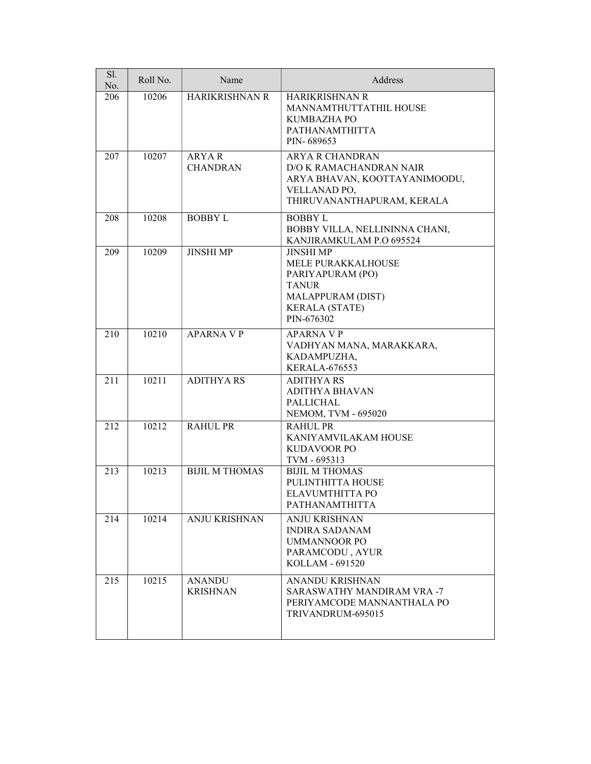| Sl.<br>No. | Roll No. | Name                             | Address                                                                                                                                |
|------------|----------|----------------------------------|----------------------------------------------------------------------------------------------------------------------------------------|
| 206        | 10206    | HARIKRISHNAN R                   | HARIKRISHNAN R<br>MANNAMTHUTTATHIL HOUSE<br>KUMBAZHA PO<br>PATHANAMTHITTA<br>PIN-689653                                                |
| 207        | 10207    | <b>ARYAR</b><br><b>CHANDRAN</b>  | <b>ARYA R CHANDRAN</b><br>D/O K RAMACHANDRAN NAIR<br>ARYA BHAVAN, KOOTTAYANIMOODU,<br>VELLANAD PO,<br>THIRUVANANTHAPURAM, KERALA       |
| 208        | 10208    | <b>BOBBY L</b>                   | <b>BOBBYL</b><br>BOBBY VILLA, NELLININNA CHANI,<br>KANJIRAMKULAM P.O 695524                                                            |
| 209        | 10209    | <b>JINSHI MP</b>                 | <b>JINSHI MP</b><br>MELE PURAKKALHOUSE<br>PARIYAPURAM (PO)<br><b>TANUR</b><br>MALAPPURAM (DIST)<br><b>KERALA (STATE)</b><br>PIN-676302 |
| 210        | 10210    | <b>APARNA V P</b>                | <b>APARNA V P</b><br>VADHYAN MANA, MARAKKARA,<br>KADAMPUZHA,<br><b>KERALA-676553</b>                                                   |
| 211        | 10211    | <b>ADITHYARS</b>                 | <b>ADITHYARS</b><br><b>ADITHYA BHAVAN</b><br><b>PALLICHAL</b><br>NEMOM, TVM - 695020                                                   |
| 212        | 10212    | <b>RAHUL PR</b>                  | <b>RAHUL PR</b><br>KANIYAMVILAKAM HOUSE<br><b>KUDAVOOR PO</b><br>TVM - 695313                                                          |
| 213        | 10213    | <b>BIJIL M THOMAS</b>            | <b>BIJIL M THOMAS</b><br>PULINTHITTA HOUSE<br>ELAVUMTHITTA PO<br><b>PATHANAMTHITTA</b>                                                 |
| 214        | 10214    | ANJU KRISHNAN                    | <b>ANJU KRISHNAN</b><br><b>INDIRA SADANAM</b><br><b>UMMANNOOR PO</b><br>PARAMCODU, AYUR<br>KOLLAM - 691520                             |
| 215        | 10215    | <b>ANANDU</b><br><b>KRISHNAN</b> | <b>ANANDU KRISHNAN</b><br>SARASWATHY MANDIRAM VRA-7<br>PERIYAMCODE MANNANTHALA PO<br>TRIVANDRUM-695015                                 |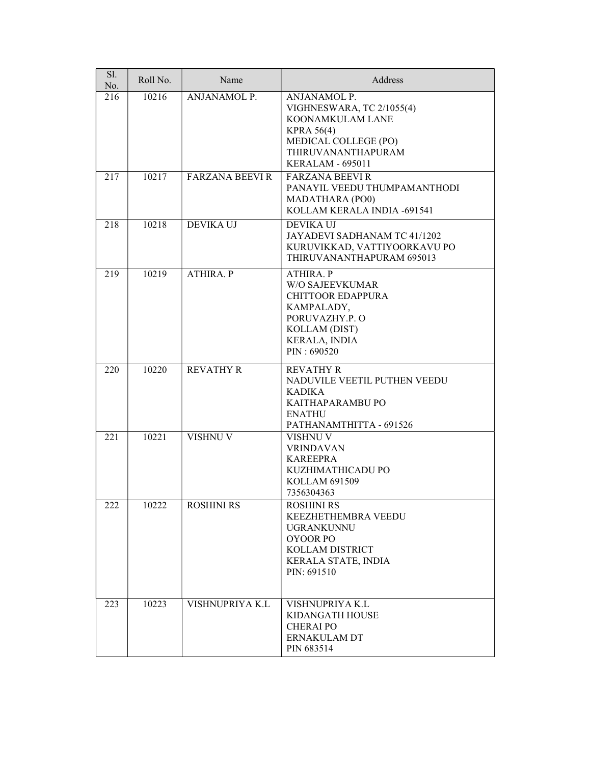| Sl.<br>No. | Roll No. | Name                   | Address                                                                                                                                                     |
|------------|----------|------------------------|-------------------------------------------------------------------------------------------------------------------------------------------------------------|
| 216        | 10216    | <b>ANJANAMOL P.</b>    | ANJANAMOL P.<br>VIGHNESWARA, TC 2/1055(4)<br>KOONAMKULAM LANE<br><b>KPRA 56(4)</b><br>MEDICAL COLLEGE (PO)<br>THIRUVANANTHAPURAM<br><b>KERALAM - 695011</b> |
| 217        | 10217    | <b>FARZANA BEEVI R</b> | <b>FARZANA BEEVIR</b><br>PANAYIL VEEDU THUMPAMANTHODI<br><b>MADATHARA (PO0)</b><br>KOLLAM KERALA INDIA -691541                                              |
| 218        | 10218    | <b>DEVIKA UJ</b>       | <b>DEVIKA UJ</b><br>JAYADEVI SADHANAM TC 41/1202<br>KURUVIKKAD, VATTIYOORKAVU PO<br>THIRUVANANTHAPURAM 695013                                               |
| 219        | 10219    | <b>ATHIRA. P</b>       | <b>ATHIRA. P</b><br><b>W/O SAJEEVKUMAR</b><br>CHITTOOR EDAPPURA<br>KAMPALADY,<br>PORUVAZHY.P.O<br>KOLLAM (DIST)<br><b>KERALA, INDIA</b><br>PIN: 690520      |
| 220        | 10220    | <b>REVATHY R</b>       | <b>REVATHY R</b><br>NADUVILE VEETIL PUTHEN VEEDU<br><b>KADIKA</b><br>KAITHAPARAMBU PO<br><b>ENATHU</b><br>PATHANAMTHITTA - 691526                           |
| 221        | 10221    | VISHNU V               | VISHNU V<br><b>VRINDAVAN</b><br><b>KAREEPRA</b><br>KUZHIMATHICADU PO<br>KOLLAM 691509<br>7356304363                                                         |
| 222        | 10222    | <b>ROSHINI RS</b>      | <b>ROSHINI RS</b><br>KEEZHETHEMBRA VEEDU<br><b>UGRANKUNNU</b><br>OYOOR PO<br>KOLLAM DISTRICT<br>KERALA STATE, INDIA<br>PIN: 691510                          |
| 223        | 10223    | VISHNUPRIYA K.L        | VISHNUPRIYA K.L<br>KIDANGATH HOUSE<br><b>CHERAIPO</b><br><b>ERNAKULAM DT</b><br>PIN 683514                                                                  |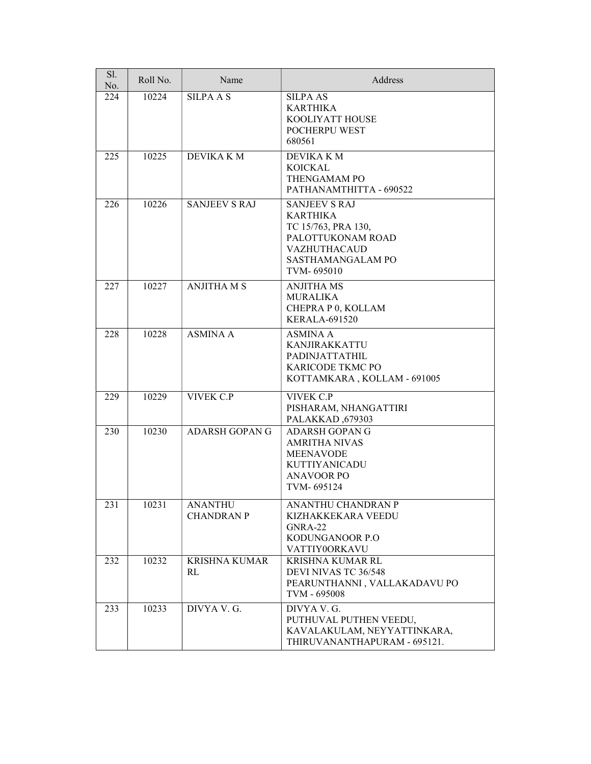| Sl.<br>No. | Roll No. | Name                                | Address                                                                                                                                       |
|------------|----------|-------------------------------------|-----------------------------------------------------------------------------------------------------------------------------------------------|
| 224        | 10224    | <b>SILPAAS</b>                      | <b>SILPA AS</b><br><b>KARTHIKA</b><br>KOOLIYATT HOUSE<br>POCHERPU WEST<br>680561                                                              |
| 225        | 10225    | DEVIKA K M                          | DEVIKA K M<br><b>KOICKAL</b><br>THENGAMAM PO<br>PATHANAMTHITTA - 690522                                                                       |
| 226        | 10226    | <b>SANJEEV S RAJ</b>                | <b>SANJEEV S RAJ</b><br><b>KARTHIKA</b><br>TC 15/763, PRA 130,<br>PALOTTUKONAM ROAD<br><b>VAZHUTHACAUD</b><br>SASTHAMANGALAM PO<br>TVM-695010 |
| 227        | 10227    | <b>ANJITHA M S</b>                  | <b>ANJITHA MS</b><br><b>MURALIKA</b><br>CHEPRA P 0, KOLLAM<br><b>KERALA-691520</b>                                                            |
| 228        | 10228    | <b>ASMINA A</b>                     | <b>ASMINA A</b><br><b>KANJIRAKKATTU</b><br><b>PADINJATTATHIL</b><br>KARICODE TKMC PO<br>KOTTAMKARA, KOLLAM - 691005                           |
| 229        | 10229    | <b>VIVEK C.P</b>                    | <b>VIVEK C.P</b><br>PISHARAM, NHANGATTIRI<br>PALAKKAD, 679303                                                                                 |
| 230        | 10230    | <b>ADARSH GOPAN G</b>               | <b>ADARSH GOPAN G</b><br><b>AMRITHA NIVAS</b><br><b>MEENAVODE</b><br><b>KUTTIYANICADU</b><br><b>ANAVOOR PO</b><br>TVM-695124                  |
| 231        | 10231    | <b>ANANTHU</b><br><b>CHANDRAN P</b> | ANANTHU CHANDRAN P<br>KIZHAKKEKARA VEEDU<br>GNRA-22<br>KODUNGANOOR P.O<br>VATTIY0ORKAVU                                                       |
| 232        | 10232    | <b>KRISHNA KUMAR</b><br>RL          | KRISHNA KUMAR RL<br>DEVI NIVAS TC 36/548<br>PEARUNTHANNI, VALLAKADAVU PO<br>TVM - 695008                                                      |
| 233        | 10233    | DIVYA V. G.                         | DIVYA V. G.<br>PUTHUVAL PUTHEN VEEDU,<br>KAVALAKULAM, NEYYATTINKARA,<br>THIRUVANANTHAPURAM - 695121.                                          |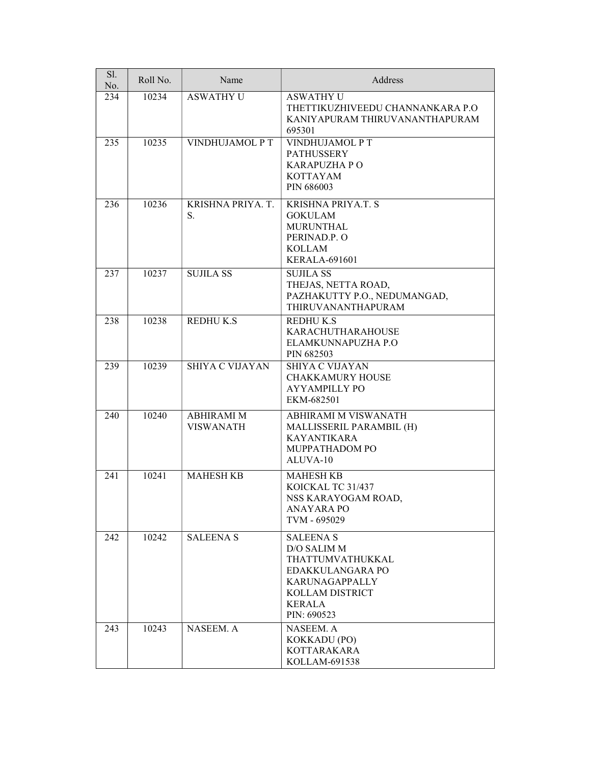| Sl.<br>No. | Roll No. | Name                                  | Address                                                                                                                                      |
|------------|----------|---------------------------------------|----------------------------------------------------------------------------------------------------------------------------------------------|
| 234        | 10234    | <b>ASWATHY U</b>                      | <b>ASWATHY U</b><br>THETTIKUZHIVEEDU CHANNANKARA P.O<br>KANIYAPURAM THIRUVANANTHAPURAM<br>695301                                             |
| 235        | 10235    | VINDHUJAMOL P T                       | VINDHUJAMOL P T<br><b>PATHUSSERY</b><br><b>KARAPUZHA PO</b><br><b>KOTTAYAM</b><br>PIN 686003                                                 |
| 236        | 10236    | KRISHNA PRIYA. T.<br>S.               | <b>KRISHNA PRIYA.T. S</b><br><b>GOKULAM</b><br><b>MURUNTHAL</b><br>PERINAD.P.O<br><b>KOLLAM</b><br><b>KERALA-691601</b>                      |
| 237        | 10237    | <b>SUJILA SS</b>                      | <b>SUJILA SS</b><br>THEJAS, NETTA ROAD,<br>PAZHAKUTTY P.O., NEDUMANGAD,<br>THIRUVANANTHAPURAM                                                |
| 238        | 10238    | REDHUK.S                              | <b>REDHUK.S</b><br><b>KARACHUTHARAHOUSE</b><br>ELAMKUNNAPUZHA P.O<br>PIN 682503                                                              |
| 239        | 10239    | <b>SHIYA C VIJAYAN</b>                | <b>SHIYA C VIJAYAN</b><br><b>CHAKKAMURY HOUSE</b><br><b>AYYAMPILLY PO</b><br>EKM-682501                                                      |
| 240        | 10240    | <b>ABHIRAMI M</b><br><b>VISWANATH</b> | ABHIRAMI M VISWANATH<br>MALLISSERIL PARAMBIL (H)<br><b>KAYANTIKARA</b><br>MUPPATHADOM PO<br>ALUVA-10                                         |
| 241        | 10241    | <b>MAHESH KB</b>                      | <b>MAHESH KB</b><br>KOICKAL TC 31/437<br>NSS KARAYOGAM ROAD,<br><b>ANAYARA PO</b><br>TVM - 695029                                            |
| 242        | 10242    | <b>SALEENA S</b>                      | <b>SALEENA S</b><br>D/O SALIM M<br>THATTUMVATHUKKAL<br>EDAKKULANGARA PO<br>KARUNAGAPPALLY<br>KOLLAM DISTRICT<br><b>KERALA</b><br>PIN: 690523 |
| 243        | 10243    | NASEEM. A                             | NASEEM. A<br>KOKKADU (PO)<br><b>KOTTARAKARA</b><br>KOLLAM-691538                                                                             |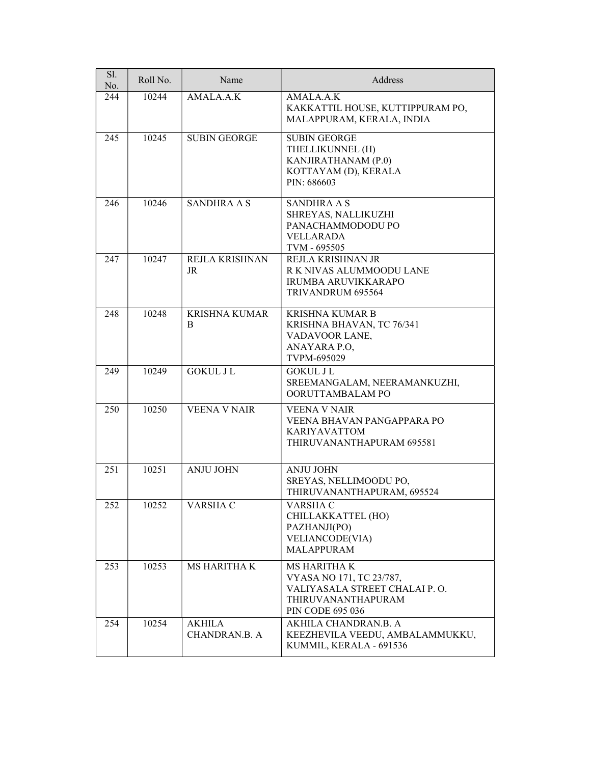| Sl.<br>No. | Roll No. | Name                                  | Address                                                                                                                    |
|------------|----------|---------------------------------------|----------------------------------------------------------------------------------------------------------------------------|
| 244        | 10244    | AMALA.A.K                             | AMALA.A.K<br>KAKKATTIL HOUSE, KUTTIPPURAM PO,<br>MALAPPURAM, KERALA, INDIA                                                 |
| 245        | 10245    | <b>SUBIN GEORGE</b>                   | <b>SUBIN GEORGE</b><br>THELLIKUNNEL (H)<br>KANJIRATHANAM (P.0)<br>KOTTAYAM (D), KERALA<br>PIN: 686603                      |
| 246        | 10246    | <b>SANDHRA A S</b>                    | <b>SANDHRA A S</b><br>SHREYAS, NALLIKUZHI<br>PANACHAMMODODU PO<br><b>VELLARADA</b><br>TVM - 695505                         |
| 247        | 10247    | REJLA KRISHNAN<br>JR                  | REJLA KRISHNAN JR<br>R K NIVAS ALUMMOODU LANE<br>IRUMBA ARUVIKKARAPO<br>TRIVANDRUM 695564                                  |
| 248        | 10248    | <b>KRISHNA KUMAR</b><br>B             | <b>KRISHNA KUMAR B</b><br>KRISHNA BHAVAN, TC 76/341<br>VADAVOOR LANE,<br>ANAYARA P.O,<br>TVPM-695029                       |
| 249        | 10249    | <b>GOKUL J L</b>                      | <b>GOKUL J L</b><br>SREEMANGALAM, NEERAMANKUZHI,<br>OORUTTAMBALAM PO                                                       |
| 250        | 10250    | <b>VEENA V NAIR</b>                   | <b>VEENA V NAIR</b><br>VEENA BHAVAN PANGAPPARA PO<br><b>KARIYAVATTOM</b><br>THIRUVANANTHAPURAM 695581                      |
| 251        | 10251    | <b>ANJU JOHN</b>                      | <b>ANJU JOHN</b><br>SREYAS, NELLIMOODU PO,<br>THIRUVANANTHAPURAM, 695524                                                   |
| 252        | 10252    | VARSHA C                              | VARSHA C<br>CHILLAKKATTEL (HO)<br>PAZHANJI(PO)<br>VELIANCODE(VIA)<br><b>MALAPPURAM</b>                                     |
| 253        | 10253    | <b>MS HARITHA K</b>                   | MS HARITHA K<br>VYASA NO 171, TC 23/787,<br>VALIYASALA STREET CHALAI P.O.<br>THIRUVANANTHAPURAM<br><b>PIN CODE 695 036</b> |
| 254        | 10254    | <b>AKHILA</b><br><b>CHANDRAN.B. A</b> | AKHILA CHANDRAN.B. A<br>KEEZHEVILA VEEDU, AMBALAMMUKKU,<br>KUMMIL, KERALA - 691536                                         |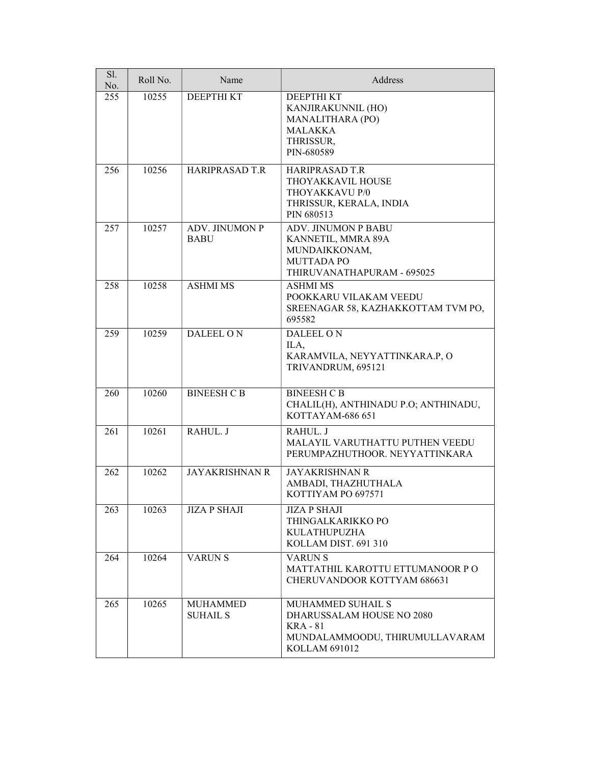| Sl.<br>No. | Roll No. | Name                                 | Address                                                                                                                     |
|------------|----------|--------------------------------------|-----------------------------------------------------------------------------------------------------------------------------|
| 255        | 10255    | <b>DEEPTHIKT</b>                     | DEEPTHI KT<br>KANJIRAKUNNIL (HO)<br>MANALITHARA (PO)<br><b>MALAKKA</b><br>THRISSUR,<br>PIN-680589                           |
| 256        | 10256    | <b>HARIPRASAD T.R</b>                | <b>HARIPRASAD T.R</b><br>THOYAKKAVIL HOUSE<br>THOYAKKAVU P/0<br>THRISSUR, KERALA, INDIA<br>PIN 680513                       |
| 257        | 10257    | <b>ADV. JINUMON P</b><br><b>BABU</b> | <b>ADV. JINUMON P BABU</b><br>KANNETIL, MMRA 89A<br>MUNDAIKKONAM,<br><b>MUTTADA PO</b><br>THIRUVANATHAPURAM - 695025        |
| 258        | 10258    | <b>ASHMI MS</b>                      | <b>ASHMI MS</b><br>POOKKARU VILAKAM VEEDU<br>SREENAGAR 58, KAZHAKKOTTAM TVM PO,<br>695582                                   |
| 259        | 10259    | DALEEL ON                            | DALEEL ON<br>ILA,<br>KARAMVILA, NEYYATTINKARA.P, O<br>TRIVANDRUM, 695121                                                    |
| 260        | 10260    | <b>BINEESH C B</b>                   | <b>BINEESH C B</b><br>CHALIL(H), ANTHINADU P.O; ANTHINADU,<br>KOTTAYAM-686 651                                              |
| 261        | 10261    | RAHUL. J                             | RAHUL. J<br>MALAYIL VARUTHATTU PUTHEN VEEDU<br>PERUMPAZHUTHOOR. NEYYATTINKARA                                               |
| 262        | 10262    | <b>JAYAKRISHNAN R</b>                | <b>JAYAKRISHNAN R</b><br>AMBADI, THAZHUTHALA<br>KOTTIYAM PO 697571                                                          |
| 263        | 10263    | <b>JIZA P SHAJI</b>                  | <b>JIZA P SHAJI</b><br>THINGALKARIKKO PO<br><b>KULATHUPUZHA</b><br>KOLLAM DIST. 691 310                                     |
| 264        | 10264    | <b>VARUNS</b>                        | <b>VARUNS</b><br>MATTATHIL KAROTTU ETTUMANOOR PO<br>CHERUVANDOOR KOTTYAM 686631                                             |
| 265        | 10265    | <b>MUHAMMED</b><br><b>SUHAIL S</b>   | <b>MUHAMMED SUHAIL S</b><br>DHARUSSALAM HOUSE NO 2080<br><b>KRA</b> - 81<br>MUNDALAMMOODU, THIRUMULLAVARAM<br>KOLLAM 691012 |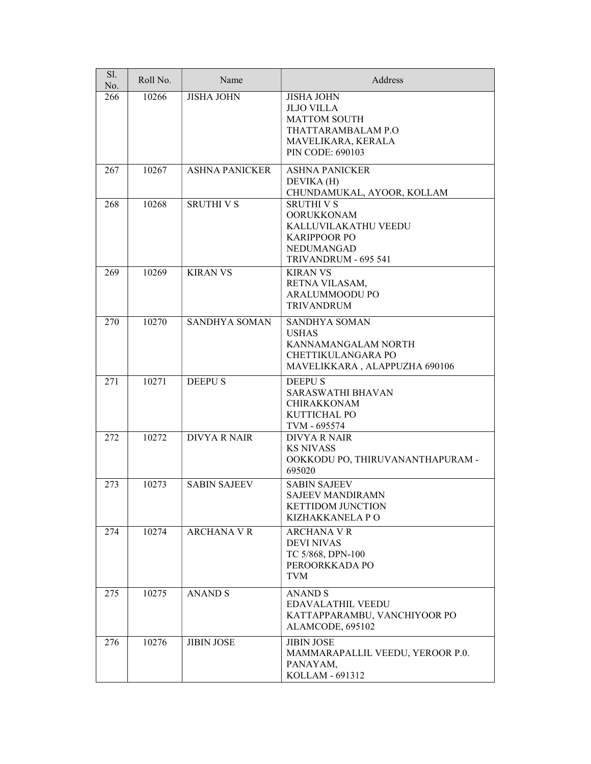| Sl.<br>No. | Roll No. | Name                  | Address                                                                                                                       |
|------------|----------|-----------------------|-------------------------------------------------------------------------------------------------------------------------------|
| 266        | 10266    | <b>JISHA JOHN</b>     | <b>JISHA JOHN</b><br><b>JLJO VILLA</b><br><b>MATTOM SOUTH</b><br>THATTARAMBALAM P.O<br>MAVELIKARA, KERALA<br>PIN CODE: 690103 |
| 267        | 10267    | <b>ASHNA PANICKER</b> | <b>ASHNA PANICKER</b><br>DEVIKA (H)<br>CHUNDAMUKAL, AYOOR, KOLLAM                                                             |
| 268        | 10268    | <b>SRUTHI V S</b>     | <b>SRUTHI V S</b><br><b>OORUKKONAM</b><br>KALLUVILAKATHU VEEDU<br><b>KARIPPOOR PO</b><br>NEDUMANGAD<br>TRIVANDRUM - 695 541   |
| 269        | 10269    | <b>KIRAN VS</b>       | <b>KIRAN VS</b><br>RETNA VILASAM,<br>ARALUMMOODU PO<br><b>TRIVANDRUM</b>                                                      |
| 270        | 10270    | <b>SANDHYA SOMAN</b>  | SANDHYA SOMAN<br><b>USHAS</b><br>KANNAMANGALAM NORTH<br>CHETTIKULANGARA PO<br>MAVELIKKARA, ALAPPUZHA 690106                   |
| 271        | 10271    | <b>DEEPUS</b>         | <b>DEEPUS</b><br><b>SARASWATHI BHAVAN</b><br><b>CHIRAKKONAM</b><br>KUTTICHAL PO<br>TVM - 695574                               |
| 272        | 10272    | <b>DIVYA R NAIR</b>   | <b>DIVYA R NAIR</b><br><b>KS NIVASS</b><br>OOKKODU PO, THIRUVANANTHAPURAM -<br>695020                                         |
| 273        | 10273    | <b>SABIN SAJEEV</b>   | <b>SABIN SAJEEV</b><br><b>SAJEEV MANDIRAMN</b><br><b>KETTIDOM JUNCTION</b><br>KIZHAKKANELA PO                                 |
| 274        | 10274    | <b>ARCHANA V R</b>    | <b>ARCHANA V R</b><br><b>DEVI NIVAS</b><br>TC 5/868, DPN-100<br>PEROORKKADA PO<br><b>TVM</b>                                  |
| 275        | 10275    | <b>ANAND S</b>        | <b>ANAND S</b><br><b>EDAVALATHIL VEEDU</b><br>KATTAPPARAMBU, VANCHIYOOR PO<br>ALAMCODE, 695102                                |
| 276        | 10276    | <b>JIBIN JOSE</b>     | <b>JIBIN JOSE</b><br>MAMMARAPALLIL VEEDU, YEROOR P.0.<br>PANAYAM,<br>KOLLAM - 691312                                          |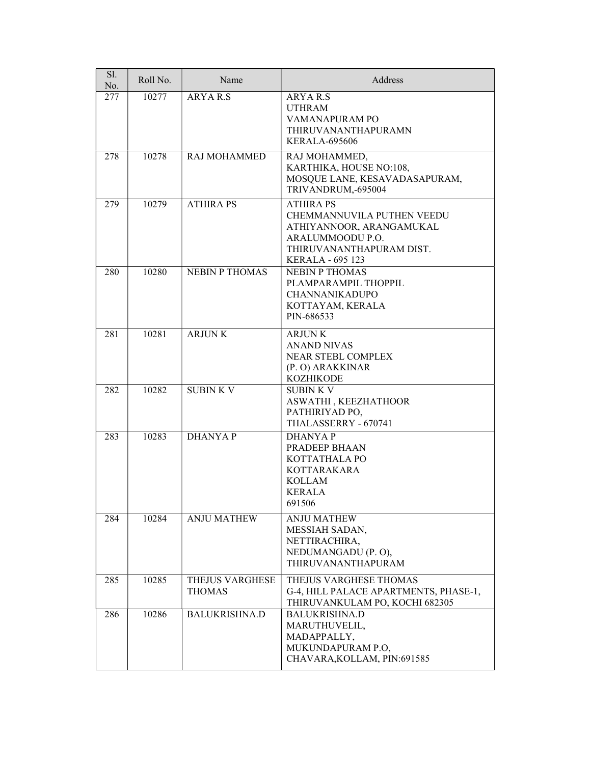| Sl.<br>No. | Roll No. | Name                                    | Address                                                                                                                                               |
|------------|----------|-----------------------------------------|-------------------------------------------------------------------------------------------------------------------------------------------------------|
| 277        | 10277    | <b>ARYAR.S</b>                          | ARYA R.S<br><b>UTHRAM</b><br>VAMANAPURAM PO<br>THIRUVANANTHAPURAMN<br><b>KERALA-695606</b>                                                            |
| 278        | 10278    | RAJ MOHAMMED                            | RAJ MOHAMMED,<br>KARTHIKA, HOUSE NO:108,<br>MOSQUE LANE, KESAVADASAPURAM,<br>TRIVANDRUM,-695004                                                       |
| 279        | 10279    | <b>ATHIRA PS</b>                        | <b>ATHIRA PS</b><br>CHEMMANNUVILA PUTHEN VEEDU<br>ATHIYANNOOR, ARANGAMUKAL<br>ARALUMMOODU P.O.<br>THIRUVANANTHAPURAM DIST.<br><b>KERALA - 695 123</b> |
| 280        | 10280    | <b>NEBIN P THOMAS</b>                   | <b>NEBIN P THOMAS</b><br>PLAMPARAMPIL THOPPIL<br><b>CHANNANIKADUPO</b><br>KOTTAYAM, KERALA<br>PIN-686533                                              |
| 281        | 10281    | <b>ARJUNK</b>                           | <b>ARJUNK</b><br><b>ANAND NIVAS</b><br>NEAR STEBL COMPLEX<br>(P. O) ARAKKINAR<br><b>KOZHIKODE</b>                                                     |
| 282        | 10282    | <b>SUBINKV</b>                          | <b>SUBINKV</b><br>ASWATHI, KEEZHATHOOR<br>PATHIRIYAD PO,<br>THALASSERRY - 670741                                                                      |
| 283        | 10283    | <b>DHANYAP</b>                          | <b>DHANYAP</b><br>PRADEEP BHAAN<br>KOTTATHALA PO<br><b>KOTTARAKARA</b><br><b>KOLLAM</b><br><b>KERALA</b><br>691506                                    |
| 284        | 10284    | <b>ANJU MATHEW</b>                      | <b>ANJU MATHEW</b><br>MESSIAH SADAN,<br>NETTIRACHIRA,<br>NEDUMANGADU (P. O),<br>THIRUVANANTHAPURAM                                                    |
| 285        | 10285    | <b>THEJUS VARGHESE</b><br><b>THOMAS</b> | THEJUS VARGHESE THOMAS<br>G-4, HILL PALACE APARTMENTS, PHASE-1,<br>THIRUVANKULAM PO, KOCHI 682305                                                     |
| 286        | 10286    | <b>BALUKRISHNA.D</b>                    | <b>BALUKRISHNA.D</b><br>MARUTHUVELIL,<br>MADAPPALLY,<br>MUKUNDAPURAM P.O,<br>CHAVARA, KOLLAM, PIN: 691585                                             |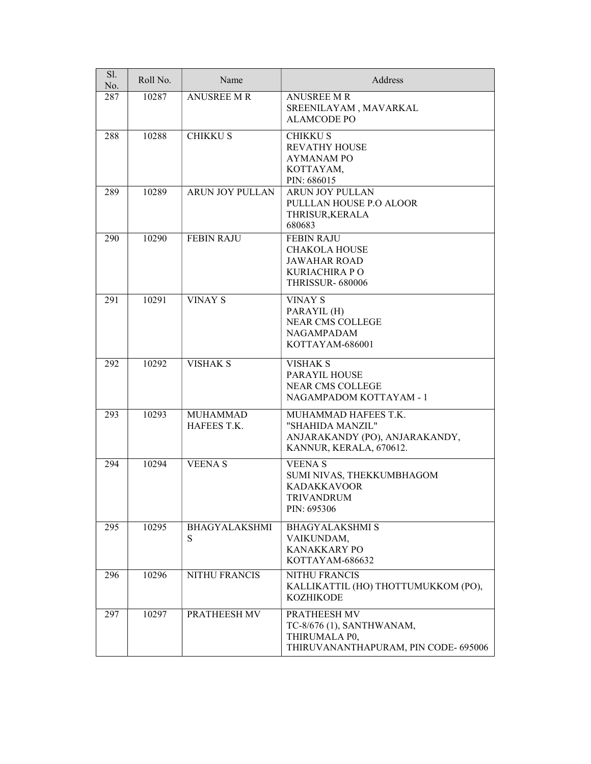| Sl.<br>No. | Roll No. | Name                           | Address                                                                                                      |
|------------|----------|--------------------------------|--------------------------------------------------------------------------------------------------------------|
| 287        | 10287    | <b>ANUSREE M R</b>             | <b>ANUSREE M R</b><br>SREENILAYAM, MAVARKAL<br><b>ALAMCODE PO</b>                                            |
| 288        | 10288    | <b>CHIKKUS</b>                 | <b>CHIKKUS</b><br><b>REVATHY HOUSE</b><br><b>AYMANAM PO</b><br>KOTTAYAM,<br>PIN: 686015                      |
| 289        | 10289    | ARUN JOY PULLAN                | <b>ARUN JOY PULLAN</b><br>PULLLAN HOUSE P.O ALOOR<br>THRISUR, KERALA<br>680683                               |
| 290        | 10290    | <b>FEBIN RAJU</b>              | <b>FEBIN RAJU</b><br><b>CHAKOLA HOUSE</b><br><b>JAWAHAR ROAD</b><br>KURIACHIRA P O<br><b>THRISSUR-680006</b> |
| 291        | 10291    | <b>VINAY S</b>                 | <b>VINAY S</b><br>PARAYIL (H)<br><b>NEAR CMS COLLEGE</b><br><b>NAGAMPADAM</b><br>KOTTAYAM-686001             |
| 292        | 10292    | <b>VISHAK S</b>                | VISHAK S<br>PARAYIL HOUSE<br><b>NEAR CMS COLLEGE</b><br>NAGAMPADOM KOTTAYAM - 1                              |
| 293        | 10293    | <b>MUHAMMAD</b><br>HAFEES T.K. | MUHAMMAD HAFEES T.K.<br>"SHAHIDA MANZIL"<br>ANJARAKANDY (PO), ANJARAKANDY,<br>KANNUR, KERALA, 670612.        |
| 294        | 10294    | <b>VEENAS</b>                  | <b>VEENA S</b><br>SUMI NIVAS, THEKKUMBHAGOM<br><b>KADAKKAVOOR</b><br><b>TRIVANDRUM</b><br>PIN: 695306        |
| 295        | 10295    | <b>BHAGYALAKSHMI</b><br>S      | <b>BHAGYALAKSHMI S</b><br>VAIKUNDAM,<br><b>KANAKKARY PO</b><br>KOTTAYAM-686632                               |
| 296        | 10296    | <b>NITHU FRANCIS</b>           | <b>NITHU FRANCIS</b><br>KALLIKATTIL (HO) THOTTUMUKKOM (PO),<br><b>KOZHIKODE</b>                              |
| 297        | 10297    | PRATHEESH MV                   | PRATHEESH MV<br>TC-8/676 (1), SANTHWANAM,<br>THIRUMALA P0,<br>THIRUVANANTHAPURAM, PIN CODE- 695006           |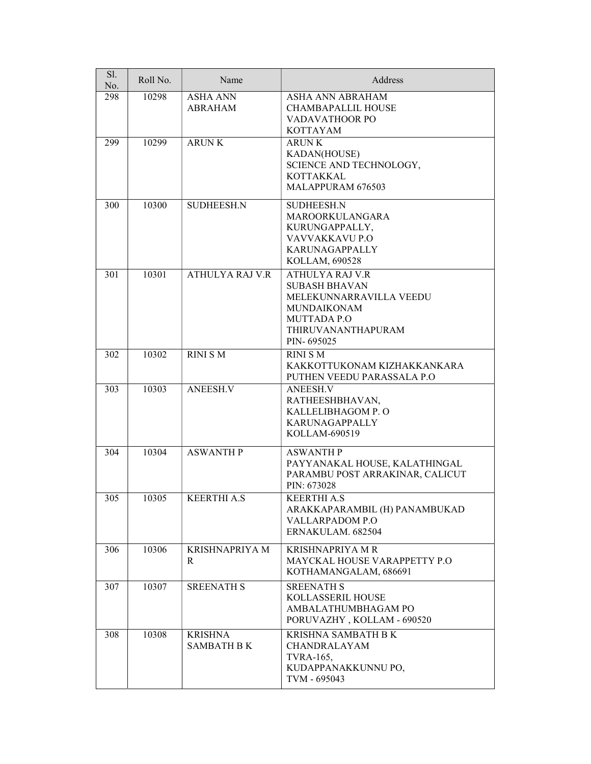| Sl.<br>No. | Roll No. | Name                                 | Address                                                                                                                                            |
|------------|----------|--------------------------------------|----------------------------------------------------------------------------------------------------------------------------------------------------|
| 298        | 10298    | <b>ASHA ANN</b><br><b>ABRAHAM</b>    | ASHA ANN ABRAHAM<br><b>CHAMBAPALLIL HOUSE</b><br>VADAVATHOOR PO<br><b>KOTTAYAM</b>                                                                 |
| 299        | 10299    | <b>ARUNK</b>                         | <b>ARUNK</b><br>KADAN(HOUSE)<br>SCIENCE AND TECHNOLOGY,<br><b>KOTTAKKAL</b><br>MALAPPURAM 676503                                                   |
| 300        | 10300    | <b>SUDHEESH.N</b>                    | <b>SUDHEESH.N</b><br>MAROORKULANGARA<br>KURUNGAPPALLY,<br>VAVVAKKAVU P.O<br><b>KARUNAGAPPALLY</b><br>KOLLAM, 690528                                |
| 301        | 10301    | <b>ATHULYA RAJ V.R</b>               | ATHULYA RAJ V.R<br><b>SUBASH BHAVAN</b><br>MELEKUNNARRAVILLA VEEDU<br><b>MUNDAIKONAM</b><br><b>MUTTADA P.O</b><br>THIRUVANANTHAPURAM<br>PIN-695025 |
| 302        | 10302    | <b>RINI S M</b>                      | <b>RINI S M</b><br>KAKKOTTUKONAM KIZHAKKANKARA<br>PUTHEN VEEDU PARASSALA P.O                                                                       |
| 303        | 10303    | ANEESH.V                             | <b>ANEESH.V</b><br>RATHEESHBHAVAN,<br>KALLELIBHAGOM P. O<br>KARUNAGAPPALLY<br>KOLLAM-690519                                                        |
| 304        | 10304    | <b>ASWANTH P</b>                     | <b>ASWANTH P</b><br>PAYYANAKAL HOUSE, KALATHINGAL<br>PARAMBU POST ARRAKINAR, CALICUT<br>PIN: 673028                                                |
| 305        | 10305    | <b>KEERTHI A.S</b>                   | <b>KEERTHI A.S</b><br>ARAKKAPARAMBIL (H) PANAMBUKAD<br><b>VALLARPADOM P.O</b><br>ERNAKULAM. 682504                                                 |
| 306        | 10306    | <b>KRISHNAPRIYA M</b><br>R           | KRISHNAPRIYA MR<br><b>MAYCKAL HOUSE VARAPPETTY P.O</b><br>KOTHAMANGALAM, 686691                                                                    |
| 307        | 10307    | <b>SREENATH S</b>                    | <b>SREENATH S</b><br>KOLLASSERIL HOUSE<br>AMBALATHUMBHAGAM PO<br>PORUVAZHY, KOLLAM - 690520                                                        |
| 308        | 10308    | <b>KRISHNA</b><br><b>SAMBATH B K</b> | KRISHNA SAMBATH B K<br>CHANDRALAYAM<br><b>TVRA-165,</b><br>KUDAPPANAKKUNNU PO,<br>TVM - 695043                                                     |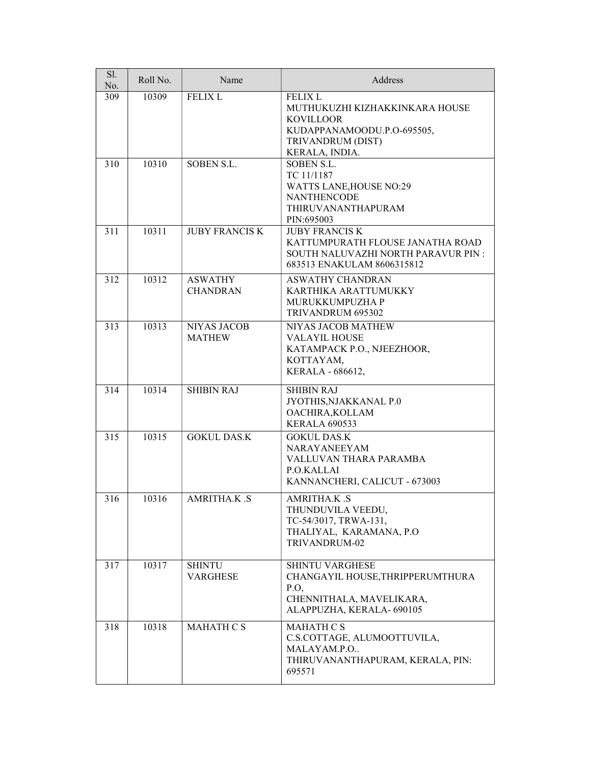| Sl.<br>No. | Roll No. | Name                                | Address                                                                                                                                   |
|------------|----------|-------------------------------------|-------------------------------------------------------------------------------------------------------------------------------------------|
| 309        | 10309    | <b>FELIX L</b>                      | <b>FELIX L</b><br>MUTHUKUZHI KIZHAKKINKARA HOUSE<br><b>KOVILLOOR</b><br>KUDAPPANAMOODU.P.O-695505,<br>TRIVANDRUM (DIST)<br>KERALA, INDIA. |
| 310        | 10310    | SOBEN S.L.                          | SOBEN S.L.<br>TC 11/1187<br><b>WATTS LANE, HOUSE NO:29</b><br><b>NANTHENCODE</b><br>THIRUVANANTHAPURAM<br>PIN:695003                      |
| 311        | 10311    | <b>JUBY FRANCIS K</b>               | <b>JUBY FRANCIS K</b><br>KATTUMPURATH FLOUSE JANATHA ROAD<br>SOUTH NALUVAZHI NORTH PARAVUR PIN:<br>683513 ENAKULAM 8606315812             |
| 312        | 10312    | <b>ASWATHY</b><br><b>CHANDRAN</b>   | <b>ASWATHY CHANDRAN</b><br>KARTHIKA ARATTUMUKKY<br>MURUKKUMPUZHA P<br>TRIVANDRUM 695302                                                   |
| 313        | 10313    | <b>NIYAS JACOB</b><br><b>MATHEW</b> | NIYAS JACOB MATHEW<br><b>VALAYIL HOUSE</b><br>KATAMPACK P.O., NJEEZHOOR,<br>KOTTAYAM,<br>KERALA - 686612,                                 |
| 314        | 10314    | <b>SHIBIN RAJ</b>                   | <b>SHIBIN RAJ</b><br>JYOTHIS, NJAKKANAL P.0<br>OACHIRA, KOLLAM<br><b>KERALA 690533</b>                                                    |
| 315        | 10315    | <b>GOKUL DAS.K</b>                  | <b>GOKUL DAS.K</b><br><b>NARAYANEEYAM</b><br>VALLUVAN THARA PARAMBA<br>P.O.KALLAI<br>KANNANCHERI, CALICUT - 673003                        |
| 316        | 10316    | AMRITHA.K.S                         | AMRITHA.K.S<br>THUNDUVILA VEEDU,<br>TC-54/3017, TRWA-131,<br>THALIYAL, KARAMANA, P.O<br>TRIVANDRUM-02                                     |
| 317        | 10317    | <b>SHINTU</b><br><b>VARGHESE</b>    | <b>SHINTU VARGHESE</b><br>CHANGAYIL HOUSE, THRIPPERUMTHURA<br>P.O,<br>CHENNITHALA, MAVELIKARA,<br>ALAPPUZHA, KERALA- 690105               |
| 318        | 10318    | <b>MAHATH C S</b>                   | <b>MAHATH CS</b><br>C.S.COTTAGE, ALUMOOTTUVILA,<br>MALAYAM.P.O<br>THIRUVANANTHAPURAM, KERALA, PIN:<br>695571                              |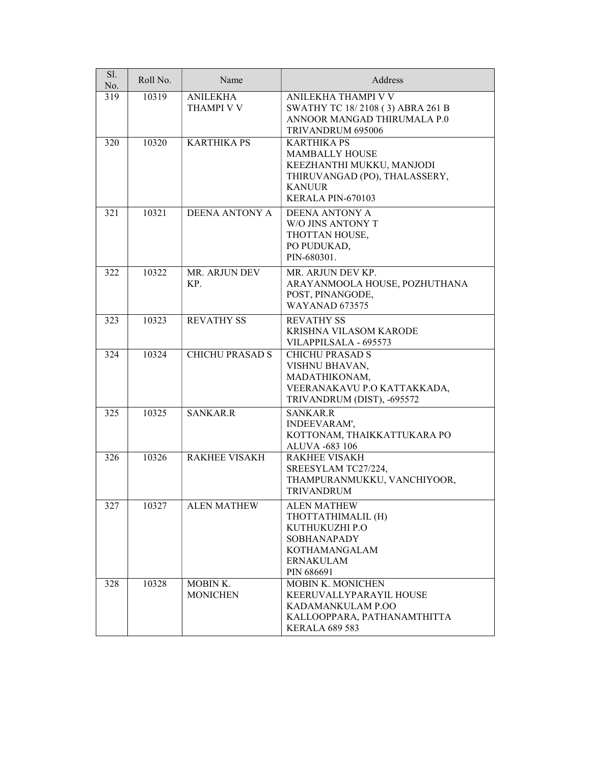| Sl.<br>No. | Roll No. | Name                                 | Address                                                                                                                                         |
|------------|----------|--------------------------------------|-------------------------------------------------------------------------------------------------------------------------------------------------|
| 319        | 10319    | <b>ANILEKHA</b><br><b>THAMPI V V</b> | ANILEKHA THAMPI V V<br>SWATHY TC 18/2108 (3) ABRA 261 B<br>ANNOOR MANGAD THIRUMALA P.0<br>TRIVANDRUM 695006                                     |
| 320        | 10320    | <b>KARTHIKA PS</b>                   | <b>KARTHIKA PS</b><br><b>MAMBALLY HOUSE</b><br>KEEZHANTHI MUKKU, MANJODI<br>THIRUVANGAD (PO), THALASSERY,<br><b>KANUUR</b><br>KERALA PIN-670103 |
| 321        | 10321    | <b>DEENA ANTONY A</b>                | <b>DEENA ANTONY A</b><br>W/O JINS ANTONY T<br>THOTTAN HOUSE,<br>PO PUDUKAD,<br>PIN-680301.                                                      |
| 322        | 10322    | MR. ARJUN DEV<br>KP.                 | MR. ARJUN DEV KP.<br>ARAYANMOOLA HOUSE, POZHUTHANA<br>POST, PINANGODE,<br><b>WAYANAD 673575</b>                                                 |
| 323        | 10323    | <b>REVATHY SS</b>                    | <b>REVATHY SS</b><br>KRISHNA VILASOM KARODE<br>VILAPPILSALA - 695573                                                                            |
| 324        | 10324    | <b>CHICHU PRASAD S</b>               | <b>CHICHU PRASAD S</b><br>VISHNU BHAVAN,<br>MADATHIKONAM,<br>VEERANAKAVU P.O KATTAKKADA,<br>TRIVANDRUM (DIST), -695572                          |
| 325        | 10325    | <b>SANKAR.R</b>                      | <b>SANKAR.R</b><br>INDEEVARAM',<br>KOTTONAM, THAIKKATTUKARA PO<br>ALUVA -683 106                                                                |
| 326        | 10326    | <b>RAKHEE VISAKH</b>                 | <b>RAKHEE VISAKH</b><br>SREESYLAM TC27/224,<br>THAMPURANMUKKU, VANCHIYOOR,<br>TRIVANDRUM                                                        |
| 327        | 10327    | <b>ALEN MATHEW</b>                   | <b>ALEN MATHEW</b><br>THOTTATHIMALIL (H)<br>KUTHUKUZHI P.O<br><b>SOBHANAPADY</b><br>KOTHAMANGALAM<br><b>ERNAKULAM</b><br>PIN 686691             |
| 328        | 10328    | MOBIN K.<br><b>MONICHEN</b>          | <b>MOBIN K. MONICHEN</b><br>KEERUVALLYPARAYIL HOUSE<br>KADAMANKULAM P.OO<br>KALLOOPPARA, PATHANAMTHITTA<br><b>KERALA 689 583</b>                |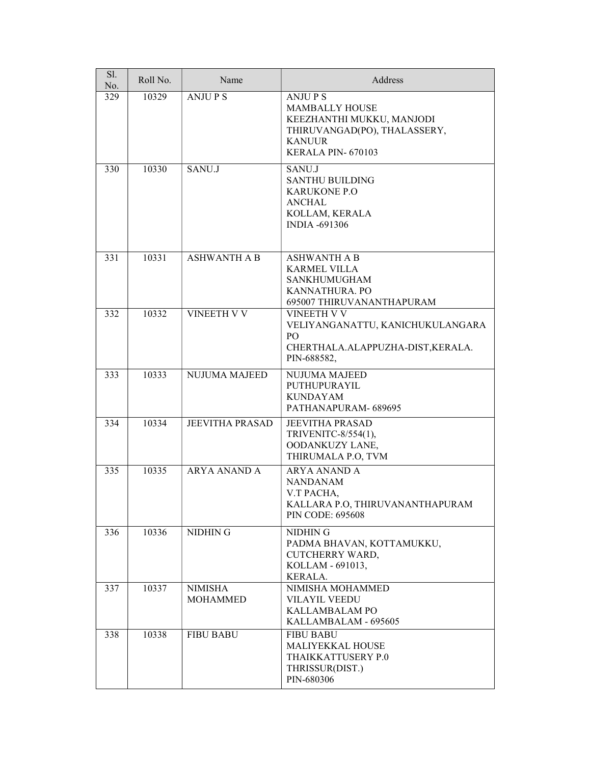| Sl.<br>No. | Roll No. | Name                              | Address                                                                                                                                   |
|------------|----------|-----------------------------------|-------------------------------------------------------------------------------------------------------------------------------------------|
| 329        | 10329    | <b>ANJUPS</b>                     | <b>ANJUPS</b><br><b>MAMBALLY HOUSE</b><br>KEEZHANTHI MUKKU, MANJODI<br>THIRUVANGAD(PO), THALASSERY,<br><b>KANUUR</b><br>KERALA PIN-670103 |
| 330        | 10330    | SANU.J                            | SANU.J<br><b>SANTHU BUILDING</b><br><b>KARUKONE P.O</b><br><b>ANCHAL</b><br>KOLLAM, KERALA<br><b>INDIA -691306</b>                        |
| 331        | 10331    | <b>ASHWANTH A B</b>               | <b>ASHWANTH A B</b><br><b>KARMEL VILLA</b><br><b>SANKHUMUGHAM</b><br>KANNATHURA. PO<br>695007 THIRUVANANTHAPURAM                          |
| 332        | 10332    | <b>VINEETH V V</b>                | <b>VINEETH V V</b><br>VELIYANGANATTU, KANICHUKULANGARA<br>P <sub>O</sub><br>CHERTHALA.ALAPPUZHA-DIST,KERALA.<br>PIN-688582,               |
| 333        | 10333    | NUJUMA MAJEED                     | NUJUMA MAJEED<br>PUTHUPURAYIL<br><b>KUNDAYAM</b><br>PATHANAPURAM-689695                                                                   |
| 334        | 10334    | <b>JEEVITHA PRASAD</b>            | <b>JEEVITHA PRASAD</b><br>TRIVENITC-8/554(1),<br>OODANKUZY LANE,<br>THIRUMALA P.O, TVM                                                    |
| 335        | 10335    | <b>ARYA ANAND A</b>               | <b>ARYA ANAND A</b><br><b>NANDANAM</b><br>V.T PACHA,<br>KALLARA P.O., THIRUVANANTHAPURAM<br><b>PIN CODE: 695608</b>                       |
| 336        | 10336    | NIDHIN G                          | NIDHIN G<br>PADMA BHAVAN, KOTTAMUKKU,<br>CUTCHERRY WARD,<br>KOLLAM - 691013,<br>KERALA.                                                   |
| 337        | 10337    | <b>NIMISHA</b><br><b>MOHAMMED</b> | NIMISHA MOHAMMED<br><b>VILAYIL VEEDU</b><br>KALLAMBALAM PO<br>KALLAMBALAM - 695605                                                        |
| 338        | 10338    | <b>FIBU BABU</b>                  | <b>FIBU BABU</b><br><b>MALIYEKKAL HOUSE</b><br>THAIKKATTUSERY P.0<br>THRISSUR(DIST.)<br>PIN-680306                                        |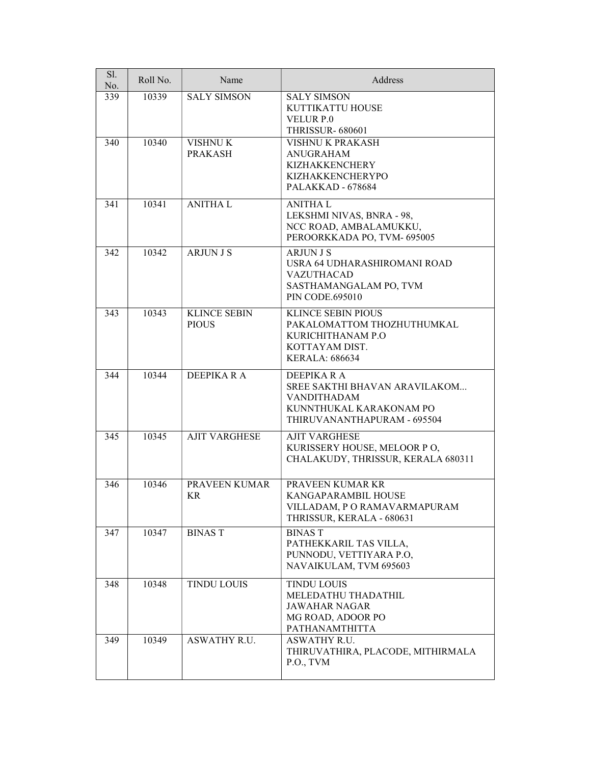| Sl.<br>No. | Roll No. | Name                                | Address                                                                                                                           |
|------------|----------|-------------------------------------|-----------------------------------------------------------------------------------------------------------------------------------|
| 339        | 10339    | <b>SALY SIMSON</b>                  | <b>SALY SIMSON</b><br>KUTTIKATTU HOUSE<br><b>VELUR P.0</b><br><b>THRISSUR- 680601</b>                                             |
| 340        | 10340    | <b>VISHNUK</b><br><b>PRAKASH</b>    | VISHNU K PRAKASH<br><b>ANUGRAHAM</b><br><b>KIZHAKKENCHERY</b><br>KIZHAKKENCHERYPO<br>PALAKKAD - 678684                            |
| 341        | 10341    | <b>ANITHAL</b>                      | <b>ANITHAL</b><br>LEKSHMI NIVAS, BNRA - 98,<br>NCC ROAD, AMBALAMUKKU,<br>PEROORKKADA PO, TVM- 695005                              |
| 342        | 10342    | <b>ARJUN J S</b>                    | <b>ARJUN J S</b><br>USRA 64 UDHARASHIROMANI ROAD<br><b>VAZUTHACAD</b><br>SASTHAMANGALAM PO, TVM<br><b>PIN CODE.695010</b>         |
| 343        | 10343    | <b>KLINCE SEBIN</b><br><b>PIOUS</b> | <b>KLINCE SEBIN PIOUS</b><br>PAKALOMATTOM THOZHUTHUMKAL<br>KURICHITHANAM P.O<br>KOTTAYAM DIST.<br><b>KERALA: 686634</b>           |
| 344        | 10344    | DEEPIKA R A                         | <b>DEEPIKARA</b><br>SREE SAKTHI BHAVAN ARAVILAKOM<br><b>VANDITHADAM</b><br>KUNNTHUKAL KARAKONAM PO<br>THIRUVANANTHAPURAM - 695504 |
| 345        | 10345    | <b>AJIT VARGHESE</b>                | <b>AJIT VARGHESE</b><br>KURISSERY HOUSE, MELOOR PO,<br>CHALAKUDY, THRISSUR, KERALA 680311                                         |
| 346        | 10346    | PRAVEEN KUMAR<br><b>KR</b>          | PRAVEEN KUMAR KR<br><b>KANGAPARAMBIL HOUSE</b><br>VILLADAM, PORAMAVARMAPURAM<br>THRISSUR, KERALA - 680631                         |
| 347        | 10347    | <b>BINAST</b>                       | <b>BINAST</b><br>PATHEKKARIL TAS VILLA,<br>PUNNODU, VETTIYARA P.O,<br>NAVAIKULAM, TVM 695603                                      |
| 348        | 10348    | <b>TINDU LOUIS</b>                  | <b>TINDU LOUIS</b><br>MELEDATHU THADATHIL<br><b>JAWAHAR NAGAR</b><br>MG ROAD, ADOOR PO<br>PATHANAMTHITTA                          |
| 349        | 10349    | ASWATHY R.U.                        | ASWATHY R.U.<br>THIRUVATHIRA, PLACODE, MITHIRMALA<br>P.O., TVM                                                                    |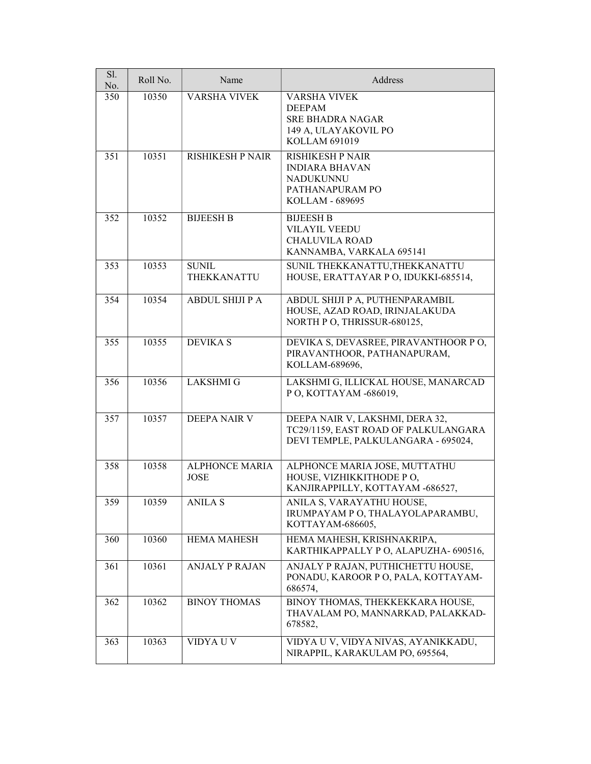| Sl.<br>No. | Roll No. | Name                                 | Address                                                                                                        |
|------------|----------|--------------------------------------|----------------------------------------------------------------------------------------------------------------|
| 350        | 10350    | <b>VARSHA VIVEK</b>                  | <b>VARSHA VIVEK</b><br><b>DEEPAM</b><br><b>SRE BHADRA NAGAR</b><br>149 A, ULAYAKOVIL PO<br>KOLLAM 691019       |
| 351        | 10351    | <b>RISHIKESH P NAIR</b>              | <b>RISHIKESH P NAIR</b><br><b>INDIARA BHAVAN</b><br><b>NADUKUNNU</b><br>PATHANAPURAM PO<br>KOLLAM - 689695     |
| 352        | 10352    | <b>BIJEESH B</b>                     | <b>BIJEESH B</b><br><b>VILAYIL VEEDU</b><br><b>CHALUVILA ROAD</b><br>KANNAMBA, VARKALA 695141                  |
| 353        | 10353    | <b>SUNIL</b><br>THEKKANATTU          | SUNIL THEKKANATTU, THEKKANATTU<br>HOUSE, ERATTAYAR PO, IDUKKI-685514,                                          |
| 354        | 10354    | <b>ABDUL SHIJI P A</b>               | ABDUL SHIJI P A, PUTHENPARAMBIL<br>HOUSE, AZAD ROAD, IRINJALAKUDA<br>NORTH P O, THRISSUR-680125,               |
| 355        | 10355    | <b>DEVIKA S</b>                      | DEVIKA S, DEVASREE, PIRAVANTHOOR PO,<br>PIRAVANTHOOR, PATHANAPURAM,<br>KOLLAM-689696,                          |
| 356        | 10356    | <b>LAKSHMI G</b>                     | LAKSHMI G, ILLICKAL HOUSE, MANARCAD<br>P O, KOTTAYAM -686019,                                                  |
| 357        | 10357    | <b>DEEPA NAIR V</b>                  | DEEPA NAIR V, LAKSHMI, DERA 32,<br>TC29/1159, EAST ROAD OF PALKULANGARA<br>DEVI TEMPLE, PALKULANGARA - 695024, |
| 358        | 10358    | <b>ALPHONCE MARIA</b><br><b>JOSE</b> | ALPHONCE MARIA JOSE, MUTTATHU<br>HOUSE, VIZHIKKITHODE PO,<br>KANJIRAPPILLY, KOTTAYAM -686527,                  |
| 359        | 10359    | <b>ANILA S</b>                       | ANILA S, VARAYATHU HOUSE,<br>IRUMPAYAM P O, THALAYOLAPARAMBU,<br>KOTTAYAM-686605,                              |
| 360        | 10360    | <b>HEMA MAHESH</b>                   | HEMA MAHESH, KRISHNAKRIPA,<br>KARTHIKAPPALLY P O, ALAPUZHA- 690516,                                            |
| 361        | 10361    | <b>ANJALY P RAJAN</b>                | ANJALY P RAJAN, PUTHICHETTU HOUSE,<br>PONADU, KAROOR P O, PALA, KOTTAYAM-<br>686574,                           |
| 362        | 10362    | <b>BINOY THOMAS</b>                  | BINOY THOMAS, THEKKEKKARA HOUSE,<br>THAVALAM PO, MANNARKAD, PALAKKAD-<br>678582,                               |
| 363        | 10363    | VIDYA U V                            | VIDYA U V, VIDYA NIVAS, AYANIKKADU,<br>NIRAPPIL, KARAKULAM PO, 695564,                                         |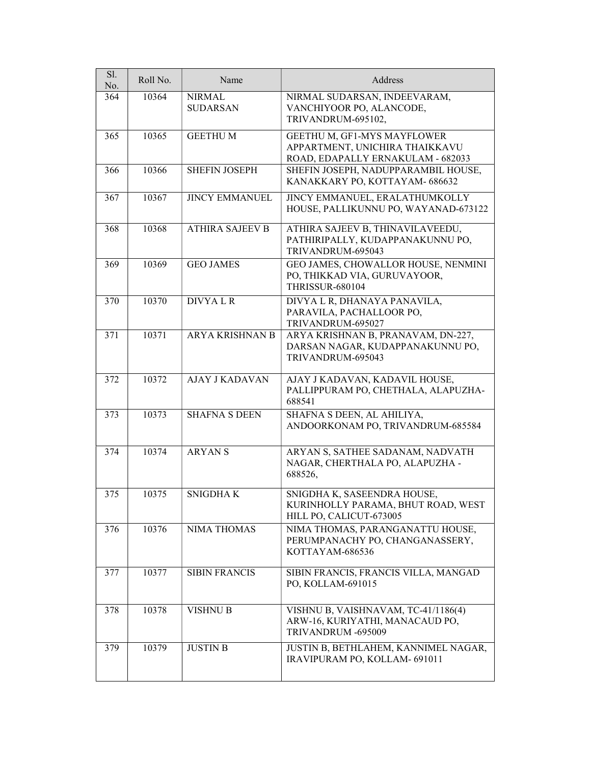| Sl.<br>No. | Roll No. | Name                             | Address                                                                                            |
|------------|----------|----------------------------------|----------------------------------------------------------------------------------------------------|
| 364        | 10364    | <b>NIRMAL</b><br><b>SUDARSAN</b> | NIRMAL SUDARSAN, INDEEVARAM,<br>VANCHIYOOR PO, ALANCODE,<br>TRIVANDRUM-695102,                     |
| 365        | 10365    | <b>GEETHUM</b>                   | GEETHU M, GF1-MYS MAYFLOWER<br>APPARTMENT, UNICHIRA THAIKKAVU<br>ROAD, EDAPALLY ERNAKULAM - 682033 |
| 366        | 10366    | <b>SHEFIN JOSEPH</b>             | SHEFIN JOSEPH, NADUPPARAMBIL HOUSE,<br>KANAKKARY PO, KOTTAYAM- 686632                              |
| 367        | 10367    | <b>JINCY EMMANUEL</b>            | JINCY EMMANUEL, ERALATHUMKOLLY<br>HOUSE, PALLIKUNNU PO, WAYANAD-673122                             |
| 368        | 10368    | <b>ATHIRA SAJEEV B</b>           | ATHIRA SAJEEV B, THINAVILAVEEDU,<br>PATHIRIPALLY, KUDAPPANAKUNNU PO,<br>TRIVANDRUM-695043          |
| 369        | 10369    | <b>GEO JAMES</b>                 | GEO JAMES, CHOWALLOR HOUSE, NENMINI<br>PO, THIKKAD VIA, GURUVAYOOR,<br><b>THRISSUR-680104</b>      |
| 370        | 10370    | <b>DIVYALR</b>                   | DIVYA L R, DHANAYA PANAVILA,<br>PARAVILA, PACHALLOOR PO,<br>TRIVANDRUM-695027                      |
| 371        | 10371    | <b>ARYA KRISHNAN B</b>           | ARYA KRISHNAN B, PRANAVAM, DN-227,<br>DARSAN NAGAR, KUDAPPANAKUNNU PO,<br>TRIVANDRUM-695043        |
| 372        | 10372    | <b>AJAY J KADAVAN</b>            | AJAY J KADAVAN, KADAVIL HOUSE,<br>PALLIPPURAM PO, CHETHALA, ALAPUZHA-<br>688541                    |
| 373        | 10373    | <b>SHAFNA S DEEN</b>             | SHAFNA S DEEN, AL AHILIYA,<br>ANDOORKONAM PO, TRIVANDRUM-685584                                    |
| 374        | 10374    | <b>ARYANS</b>                    | ARYAN S, SATHEE SADANAM, NADVATH<br>NAGAR, CHERTHALA PO, ALAPUZHA -<br>688526,                     |
| 375        | 10375    | <b>SNIGDHAK</b>                  | SNIGDHA K, SASEENDRA HOUSE,<br>KURINHOLLY PARAMA, BHUT ROAD, WEST<br>HILL PO, CALICUT-673005       |
| 376        | 10376    | <b>NIMA THOMAS</b>               | NIMA THOMAS, PARANGANATTU HOUSE,<br>PERUMPANACHY PO, CHANGANASSERY,<br>KOTTAYAM-686536             |
| 377        | 10377    | <b>SIBIN FRANCIS</b>             | SIBIN FRANCIS, FRANCIS VILLA, MANGAD<br>PO, KOLLAM-691015                                          |
| 378        | 10378    | <b>VISHNU B</b>                  | VISHNU B, VAISHNAVAM, TC-41/1186(4)<br>ARW-16, KURIYATHI, MANACAUD PO,<br>TRIVANDRUM -695009       |
| 379        | 10379    | <b>JUSTIN B</b>                  | JUSTIN B, BETHLAHEM, KANNIMEL NAGAR,<br>IRAVIPURAM PO, KOLLAM- 691011                              |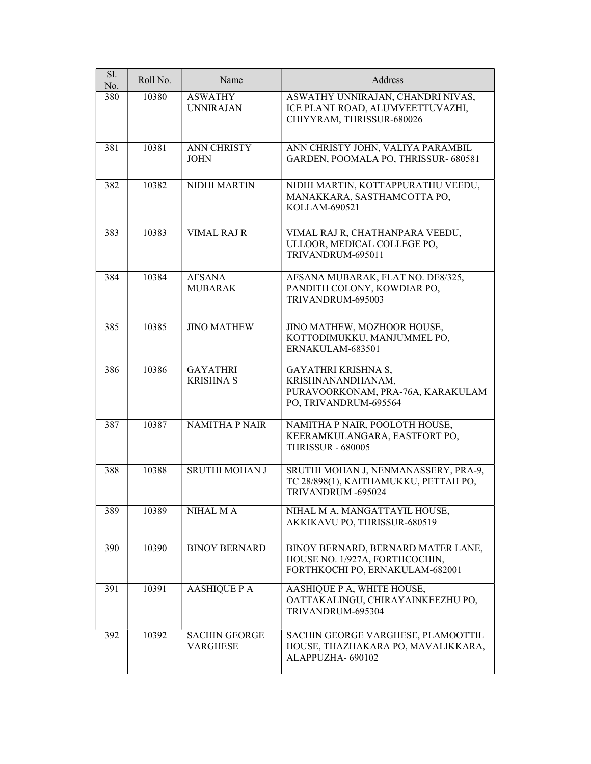| Sl.<br>No. | Roll No. | Name                                | Address                                                                                                 |
|------------|----------|-------------------------------------|---------------------------------------------------------------------------------------------------------|
| 380        | 10380    | <b>ASWATHY</b><br><b>UNNIRAJAN</b>  | ASWATHY UNNIRAJAN, CHANDRI NIVAS,<br>ICE PLANT ROAD, ALUMVEETTUVAZHI,<br>CHIYYRAM, THRISSUR-680026      |
| 381        | 10381    | <b>ANN CHRISTY</b><br><b>JOHN</b>   | ANN CHRISTY JOHN, VALIYA PARAMBIL<br>GARDEN, POOMALA PO, THRISSUR- 680581                               |
| 382        | 10382    | NIDHI MARTIN                        | NIDHI MARTIN, KOTTAPPURATHU VEEDU,<br>MANAKKARA, SASTHAMCOTTA PO,<br>KOLLAM-690521                      |
| 383        | 10383    | <b>VIMAL RAJ R</b>                  | VIMAL RAJ R, CHATHANPARA VEEDU,<br>ULLOOR, MEDICAL COLLEGE PO,<br>TRIVANDRUM-695011                     |
| 384        | 10384    | <b>AFSANA</b><br><b>MUBARAK</b>     | AFSANA MUBARAK, FLAT NO. DE8/325,<br>PANDITH COLONY, KOWDIAR PO,<br>TRIVANDRUM-695003                   |
| 385        | 10385    | <b>JINO MATHEW</b>                  | JINO MATHEW, MOZHOOR HOUSE,<br>KOTTODIMUKKU, MANJUMMEL PO,<br>ERNAKULAM-683501                          |
| 386        | 10386    | <b>GAYATHRI</b><br><b>KRISHNA S</b> | GAYATHRI KRISHNA S,<br>KRISHNANANDHANAM,<br>PURAVOORKONAM, PRA-76A, KARAKULAM<br>PO, TRIVANDRUM-695564  |
| 387        | 10387    | <b>NAMITHA P NAIR</b>               | NAMITHA P NAIR, POOLOTH HOUSE,<br>KEERAMKULANGARA, EASTFORT PO,<br><b>THRISSUR - 680005</b>             |
| 388        | 10388    | <b>SRUTHI MOHAN J</b>               | SRUTHI MOHAN J, NENMANASSERY, PRA-9,<br>TC 28/898(1), KAITHAMUKKU, PETTAH PO,<br>TRIVANDRUM -695024     |
| 389        | 10389    | NIHAL M A                           | NIHAL M A, MANGATTAYIL HOUSE,<br>AKKIKAVU PO, THRISSUR-680519                                           |
| 390        | 10390    | <b>BINOY BERNARD</b>                | BINOY BERNARD, BERNARD MATER LANE,<br>HOUSE NO. 1/927A, FORTHCOCHIN,<br>FORTHKOCHI PO, ERNAKULAM-682001 |
| 391        | 10391    | <b>AASHIQUE P A</b>                 | AASHIQUE P A, WHITE HOUSE,<br>OATTAKALINGU, CHIRAYAINKEEZHU PO,<br>TRIVANDRUM-695304                    |
| 392        | 10392    | <b>SACHIN GEORGE</b><br>VARGHESE    | SACHIN GEORGE VARGHESE, PLAMOOTTIL<br>HOUSE, THAZHAKARA PO, MAVALIKKARA,<br>ALAPPUZHA- 690102           |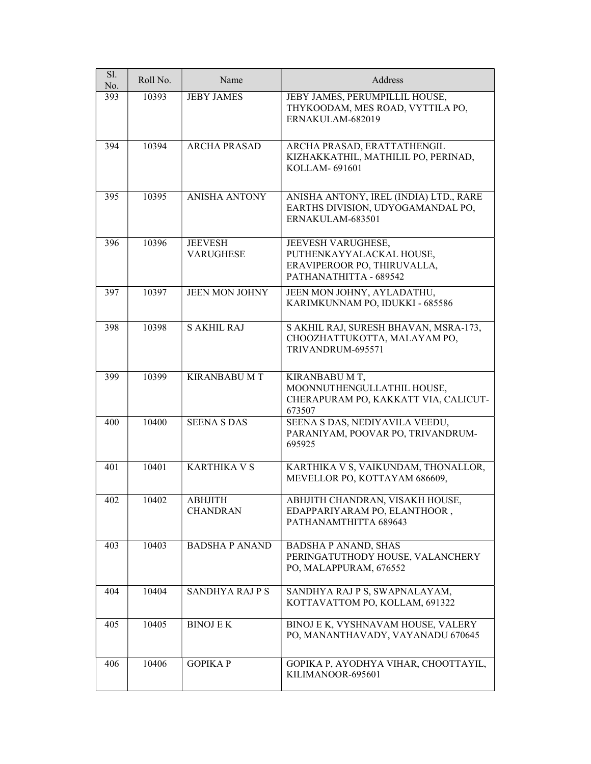| Sl.<br>No. | Roll No. | Name                               | Address                                                                                                 |
|------------|----------|------------------------------------|---------------------------------------------------------------------------------------------------------|
| 393        | 10393    | <b>JEBY JAMES</b>                  | JEBY JAMES, PERUMPILLIL HOUSE,<br>THYKOODAM, MES ROAD, VYTTILA PO,<br>ERNAKULAM-682019                  |
| 394        | 10394    | <b>ARCHA PRASAD</b>                | ARCHA PRASAD, ERATTATHENGIL<br>KIZHAKKATHIL, MATHILIL PO, PERINAD,<br>KOLLAM-691601                     |
| 395        | 10395    | <b>ANISHA ANTONY</b>               | ANISHA ANTONY, IREL (INDIA) LTD., RARE<br>EARTHS DIVISION, UDYOGAMANDAL PO,<br>ERNAKULAM-683501         |
| 396        | 10396    | <b>JEEVESH</b><br><b>VARUGHESE</b> | JEEVESH VARUGHESE,<br>PUTHENKAYYALACKAL HOUSE,<br>ERAVIPEROOR PO, THIRUVALLA,<br>PATHANATHITTA - 689542 |
| 397        | 10397    | <b>JEEN MON JOHNY</b>              | JEEN MON JOHNY, AYLADATHU,<br>KARIMKUNNAM PO, IDUKKI - 685586                                           |
| 398        | 10398    | <b>S AKHIL RAJ</b>                 | S AKHIL RAJ, SURESH BHAVAN, MSRA-173,<br>CHOOZHATTUKOTTA, MALAYAM PO,<br>TRIVANDRUM-695571              |
| 399        | 10399    | <b>KIRANBABU M T</b>               | KIRANBABU M T,<br>MOONNUTHENGULLATHIL HOUSE,<br>CHERAPURAM PO, KAKKATT VIA, CALICUT-<br>673507          |
| 400        | 10400    | <b>SEENA S DAS</b>                 | SEENA S DAS, NEDIYAVILA VEEDU,<br>PARANIYAM, POOVAR PO, TRIVANDRUM-<br>695925                           |
| 401        | 10401    | <b>KARTHIKA V S</b>                | KARTHIKA V S, VAIKUNDAM, THONALLOR,<br>MEVELLOR PO, KOTTAYAM 686609,                                    |
| 402        | 10402    | ABHJITH<br><b>CHANDRAN</b>         | ABHJITH CHANDRAN, VISAKH HOUSE,<br>EDAPPARIYARAM PO, ELANTHOOR,<br>PATHANAMTHITTA 689643                |
| 403        | 10403    | <b>BADSHA P ANAND</b>              | <b>BADSHA P ANAND, SHAS</b><br>PERINGATUTHODY HOUSE, VALANCHERY<br>PO, MALAPPURAM, 676552               |
| 404        | 10404    | SANDHYA RAJPS                      | SANDHYA RAJ P S, SWAPNALAYAM,<br>KOTTAVATTOM PO, KOLLAM, 691322                                         |
| 405        | 10405    | <b>BINOJ E K</b>                   | BINOJ E K, VYSHNAVAM HOUSE, VALERY<br>PO, MANANTHAVADY, VAYANADU 670645                                 |
| 406        | 10406    | <b>GOPIKAP</b>                     | GOPIKA P, AYODHYA VIHAR, CHOOTTAYIL,<br>KILIMANOOR-695601                                               |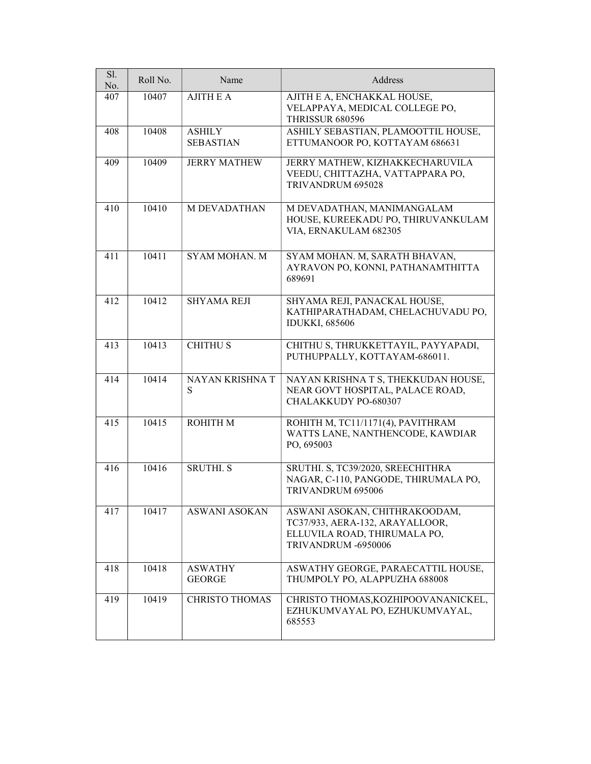| Sl.<br>No. | Roll No. | Name                              | Address                                                                                                                 |
|------------|----------|-----------------------------------|-------------------------------------------------------------------------------------------------------------------------|
| 407        | 10407    | <b>AJITH E A</b>                  | AJITH E A, ENCHAKKAL HOUSE,<br>VELAPPAYA, MEDICAL COLLEGE PO,<br>THRISSUR 680596                                        |
| 408        | 10408    | <b>ASHILY</b><br><b>SEBASTIAN</b> | ASHILY SEBASTIAN, PLAMOOTTIL HOUSE,<br>ETTUMANOOR PO, KOTTAYAM 686631                                                   |
| 409        | 10409    | <b>JERRY MATHEW</b>               | JERRY MATHEW, KIZHAKKECHARUVILA<br>VEEDU, CHITTAZHA, VATTAPPARA PO,<br>TRIVANDRUM 695028                                |
| 410        | 10410    | <b>M DEVADATHAN</b>               | M DEVADATHAN, MANIMANGALAM<br>HOUSE, KUREEKADU PO, THIRUVANKULAM<br>VIA, ERNAKULAM 682305                               |
| 411        | 10411    | <b>SYAM MOHAN. M</b>              | SYAM MOHAN. M, SARATH BHAVAN,<br>AYRAVON PO, KONNI, PATHANAMTHITTA<br>689691                                            |
| 412        | 10412    | <b>SHYAMA REJI</b>                | SHYAMA REJI, PANACKAL HOUSE,<br>KATHIPARATHADAM, CHELACHUVADU PO,<br><b>IDUKKI, 685606</b>                              |
| 413        | 10413    | <b>CHITHUS</b>                    | CHITHU S, THRUKKETTAYIL, PAYYAPADI,<br>PUTHUPPALLY, KOTTAYAM-686011.                                                    |
| 414        | 10414    | NAYAN KRISHNA T<br>S              | NAYAN KRISHNA T S, THEKKUDAN HOUSE,<br>NEAR GOVT HOSPITAL, PALACE ROAD,<br>CHALAKKUDY PO-680307                         |
| 415        | 10415    | <b>ROHITH M</b>                   | ROHITH M, TC11/1171(4), PAVITHRAM<br>WATTS LANE, NANTHENCODE, KAWDIAR<br>PO, 695003                                     |
| 416        | 10416    | <b>SRUTHI.S</b>                   | SRUTHI. S, TC39/2020, SREECHITHRA<br>NAGAR, C-110, PANGODE, THIRUMALA PO,<br>TRIVANDRUM 695006                          |
| 417        | 10417    | <b>ASWANI ASOKAN</b>              | ASWANI ASOKAN, CHITHRAKOODAM,<br>TC37/933, AERA-132, ARAYALLOOR,<br>ELLUVILA ROAD, THIRUMALA PO,<br>TRIVANDRUM -6950006 |
| 418        | 10418    | <b>ASWATHY</b><br><b>GEORGE</b>   | ASWATHY GEORGE, PARAECATTIL HOUSE,<br>THUMPOLY PO, ALAPPUZHA 688008                                                     |
| 419        | 10419    | <b>CHRISTO THOMAS</b>             | CHRISTO THOMAS, KOZHIPOOVANANICKEL,<br>EZHUKUMVAYAL PO, EZHUKUMVAYAL,<br>685553                                         |